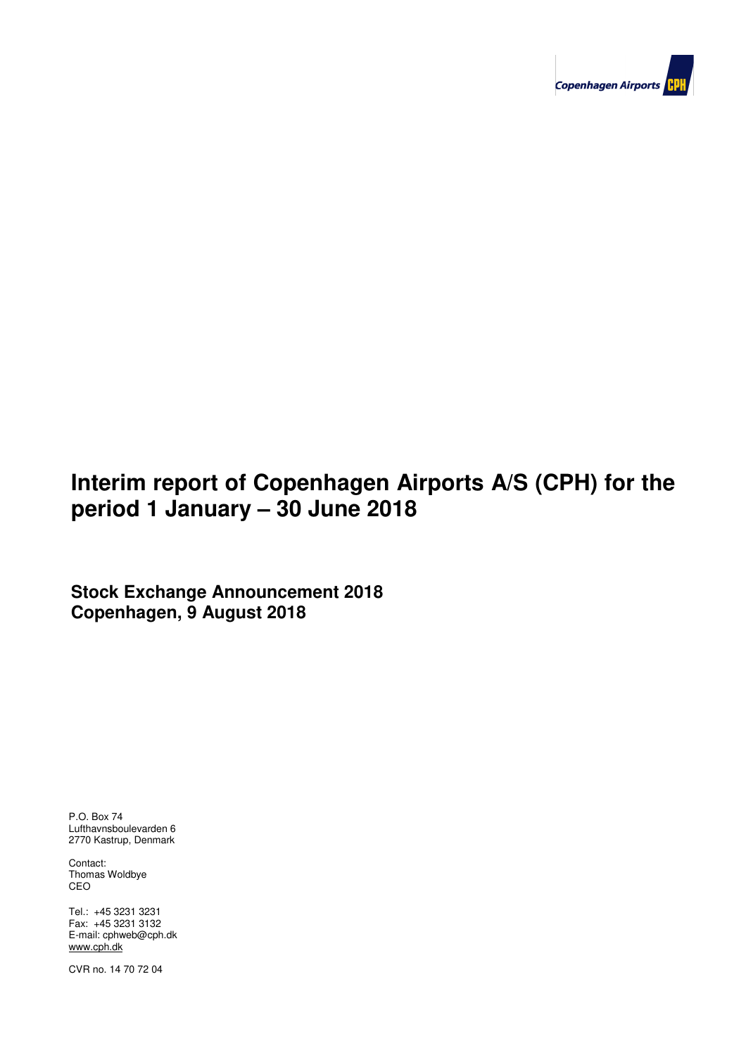

# **Interim report of Copenhagen Airports A/S (CPH) for the period 1 January – 30 June 2018**

**Stock Exchange Announcement 2018 Copenhagen, 9 August 2018**

P.O. Box 74 Lufthavnsboulevarden 6 2770 Kastrup, Denmark

Contact: Thomas Woldbye CEO

**Contents** Tel.: +45 3231 3231 **Contents** Fax: +45 3231 3132 E-mail: cphweb@cph.dk www.cph.dk

 $C$  and  $C$  Page 1 of 25 Page 1 of 25 Page 1 of 25 Page 1 of 25 Page 1 of 25 Page 1 of 25 Page 1 of 25 Page 1 of 25 Page 1 of 25 Page 1 of 25 Page 1 of 25 Page 1 of 25 Page 1 of 25 Page 1 of 25 Page 1 of 25 Page 1 of 25 P CVR no. 14 70 72 04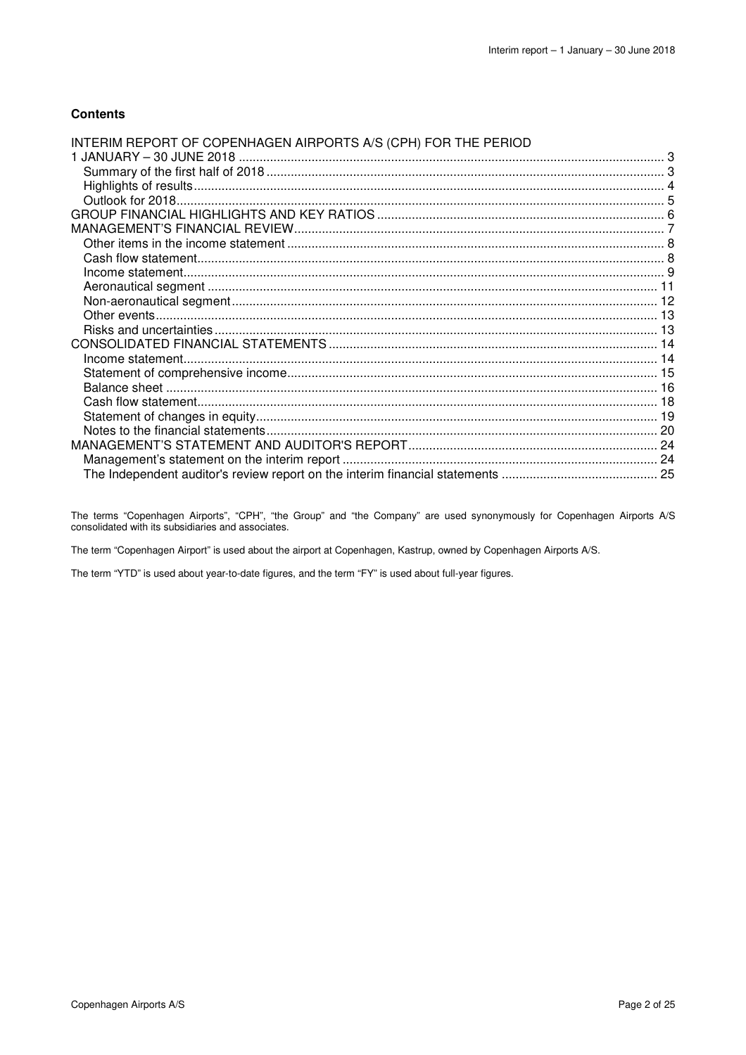### **Contents**

| INTERIM REPORT OF COPENHAGEN AIRPORTS A/S (CPH) FOR THE PERIOD |  |
|----------------------------------------------------------------|--|
|                                                                |  |
|                                                                |  |
|                                                                |  |
|                                                                |  |
|                                                                |  |
|                                                                |  |
|                                                                |  |
|                                                                |  |
|                                                                |  |
|                                                                |  |
|                                                                |  |
|                                                                |  |
|                                                                |  |
|                                                                |  |
|                                                                |  |
|                                                                |  |
|                                                                |  |
|                                                                |  |
|                                                                |  |
|                                                                |  |
|                                                                |  |
|                                                                |  |
|                                                                |  |

The terms "Copenhagen Airports", "CPH", "the Group" and "the Company" are used synonymously for Copenhagen Airports A/S consolidated with its subsidiaries and associates.

The term "Copenhagen Airport" is used about the airport at Copenhagen, Kastrup, owned by Copenhagen Airports A/S.

The term "YTD" is used about year-to-date figures, and the term "FY" is used about full-year figures.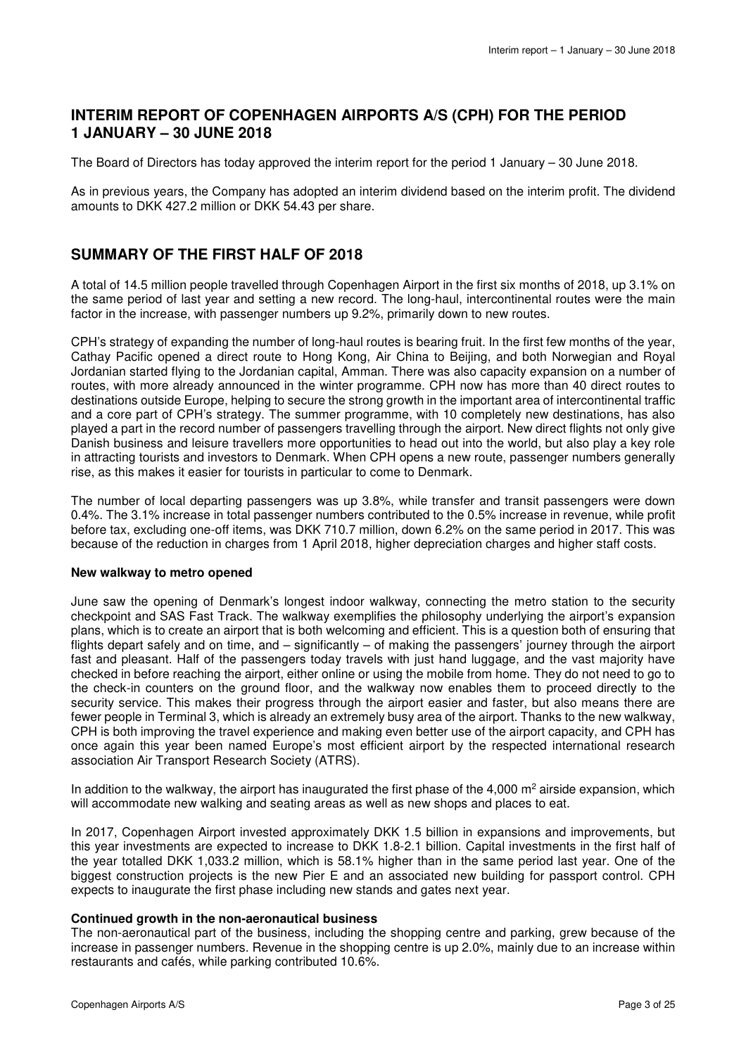### **INTERIM REPORT OF COPENHAGEN AIRPORTS A/S (CPH) FOR THE PERIOD 1 JANUARY – 30 JUNE 2018**

The Board of Directors has today approved the interim report for the period 1 January – 30 June 2018.

As in previous years, the Company has adopted an interim dividend based on the interim profit. The dividend amounts to DKK 427.2 million or DKK 54.43 per share.

### **SUMMARY OF THE FIRST HALF OF 2018**

A total of 14.5 million people travelled through Copenhagen Airport in the first six months of 2018, up 3.1% on the same period of last year and setting a new record. The long-haul, intercontinental routes were the main factor in the increase, with passenger numbers up 9.2%, primarily down to new routes.

CPH's strategy of expanding the number of long-haul routes is bearing fruit. In the first few months of the year, Cathay Pacific opened a direct route to Hong Kong, Air China to Beijing, and both Norwegian and Royal Jordanian started flying to the Jordanian capital, Amman. There was also capacity expansion on a number of routes, with more already announced in the winter programme. CPH now has more than 40 direct routes to destinations outside Europe, helping to secure the strong growth in the important area of intercontinental traffic and a core part of CPH's strategy. The summer programme, with 10 completely new destinations, has also played a part in the record number of passengers travelling through the airport. New direct flights not only give Danish business and leisure travellers more opportunities to head out into the world, but also play a key role in attracting tourists and investors to Denmark. When CPH opens a new route, passenger numbers generally rise, as this makes it easier for tourists in particular to come to Denmark.

The number of local departing passengers was up 3.8%, while transfer and transit passengers were down 0.4%. The 3.1% increase in total passenger numbers contributed to the 0.5% increase in revenue, while profit before tax, excluding one-off items, was DKK 710.7 million, down 6.2% on the same period in 2017. This was because of the reduction in charges from 1 April 2018, higher depreciation charges and higher staff costs.

### **New walkway to metro opened**

June saw the opening of Denmark's longest indoor walkway, connecting the metro station to the security checkpoint and SAS Fast Track. The walkway exemplifies the philosophy underlying the airport's expansion plans, which is to create an airport that is both welcoming and efficient. This is a question both of ensuring that flights depart safely and on time, and – significantly – of making the passengers' journey through the airport fast and pleasant. Half of the passengers today travels with just hand luggage, and the vast majority have checked in before reaching the airport, either online or using the mobile from home. They do not need to go to the check-in counters on the ground floor, and the walkway now enables them to proceed directly to the security service. This makes their progress through the airport easier and faster, but also means there are fewer people in Terminal 3, which is already an extremely busy area of the airport. Thanks to the new walkway, CPH is both improving the travel experience and making even better use of the airport capacity, and CPH has once again this year been named Europe's most efficient airport by the respected international research association Air Transport Research Society (ATRS).

In addition to the walkway, the airport has inaugurated the first phase of the 4,000  $m^2$  airside expansion, which will accommodate new walking and seating areas as well as new shops and places to eat.

In 2017, Copenhagen Airport invested approximately DKK 1.5 billion in expansions and improvements, but this year investments are expected to increase to DKK 1.8-2.1 billion. Capital investments in the first half of the year totalled DKK 1,033.2 million, which is 58.1% higher than in the same period last year. One of the biggest construction projects is the new Pier E and an associated new building for passport control. CPH expects to inaugurate the first phase including new stands and gates next year.

### **Continued growth in the non-aeronautical business**

The non-aeronautical part of the business, including the shopping centre and parking, grew because of the increase in passenger numbers. Revenue in the shopping centre is up 2.0%, mainly due to an increase within restaurants and cafés, while parking contributed 10.6%.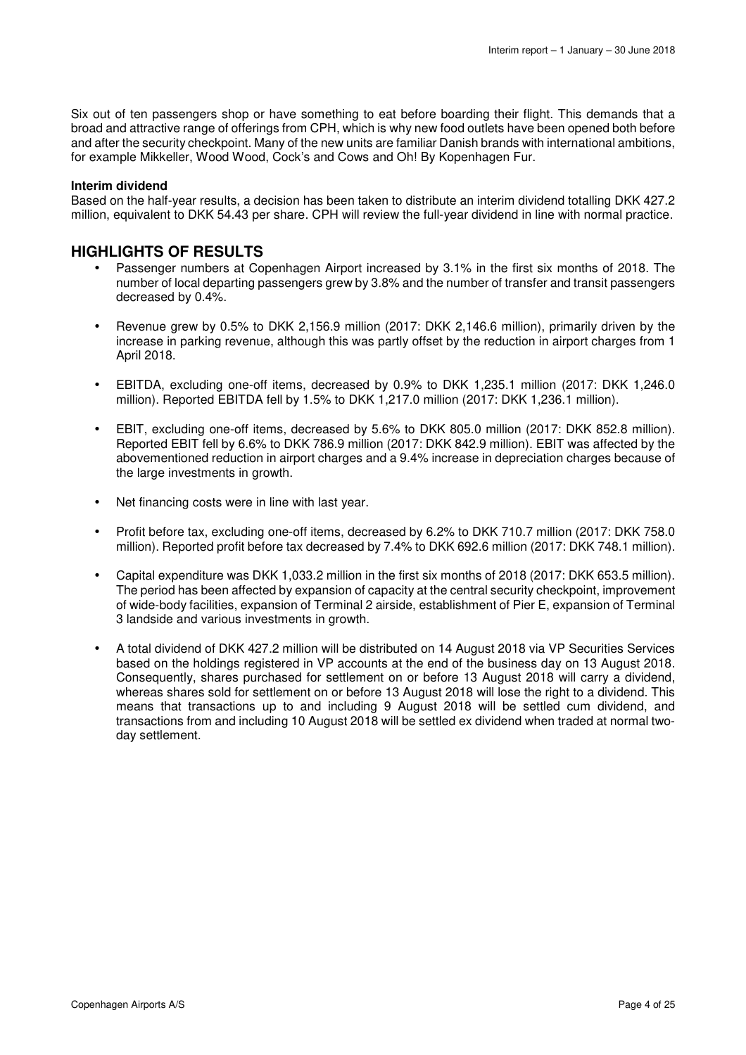Six out of ten passengers shop or have something to eat before boarding their flight. This demands that a broad and attractive range of offerings from CPH, which is why new food outlets have been opened both before and after the security checkpoint. Many of the new units are familiar Danish brands with international ambitions, for example Mikkeller, Wood Wood, Cock's and Cows and Oh! By Kopenhagen Fur.

### **Interim dividend**

Based on the half-year results, a decision has been taken to distribute an interim dividend totalling DKK 427.2 million, equivalent to DKK 54.43 per share. CPH will review the full-year dividend in line with normal practice.

### **HIGHLIGHTS OF RESULTS**

- Passenger numbers at Copenhagen Airport increased by 3.1% in the first six months of 2018. The number of local departing passengers grew by 3.8% and the number of transfer and transit passengers decreased by 0.4%.
- Revenue grew by 0.5% to DKK 2,156.9 million (2017: DKK 2,146.6 million), primarily driven by the increase in parking revenue, although this was partly offset by the reduction in airport charges from 1 April 2018.
- EBITDA, excluding one-off items, decreased by 0.9% to DKK 1,235.1 million (2017: DKK 1,246.0 million). Reported EBITDA fell by 1.5% to DKK 1,217.0 million (2017: DKK 1,236.1 million).
- EBIT, excluding one-off items, decreased by 5.6% to DKK 805.0 million (2017: DKK 852.8 million). Reported EBIT fell by 6.6% to DKK 786.9 million (2017: DKK 842.9 million). EBIT was affected by the abovementioned reduction in airport charges and a 9.4% increase in depreciation charges because of the large investments in growth.
- Net financing costs were in line with last year.
- Profit before tax, excluding one-off items, decreased by 6.2% to DKK 710.7 million (2017: DKK 758.0 million). Reported profit before tax decreased by 7.4% to DKK 692.6 million (2017: DKK 748.1 million).
- Capital expenditure was DKK 1,033.2 million in the first six months of 2018 (2017: DKK 653.5 million). The period has been affected by expansion of capacity at the central security checkpoint, improvement of wide-body facilities, expansion of Terminal 2 airside, establishment of Pier E, expansion of Terminal 3 landside and various investments in growth.
- A total dividend of DKK 427.2 million will be distributed on 14 August 2018 via VP Securities Services based on the holdings registered in VP accounts at the end of the business day on 13 August 2018. Consequently, shares purchased for settlement on or before 13 August 2018 will carry a dividend, whereas shares sold for settlement on or before 13 August 2018 will lose the right to a dividend. This means that transactions up to and including 9 August 2018 will be settled cum dividend, and transactions from and including 10 August 2018 will be settled ex dividend when traded at normal twoday settlement.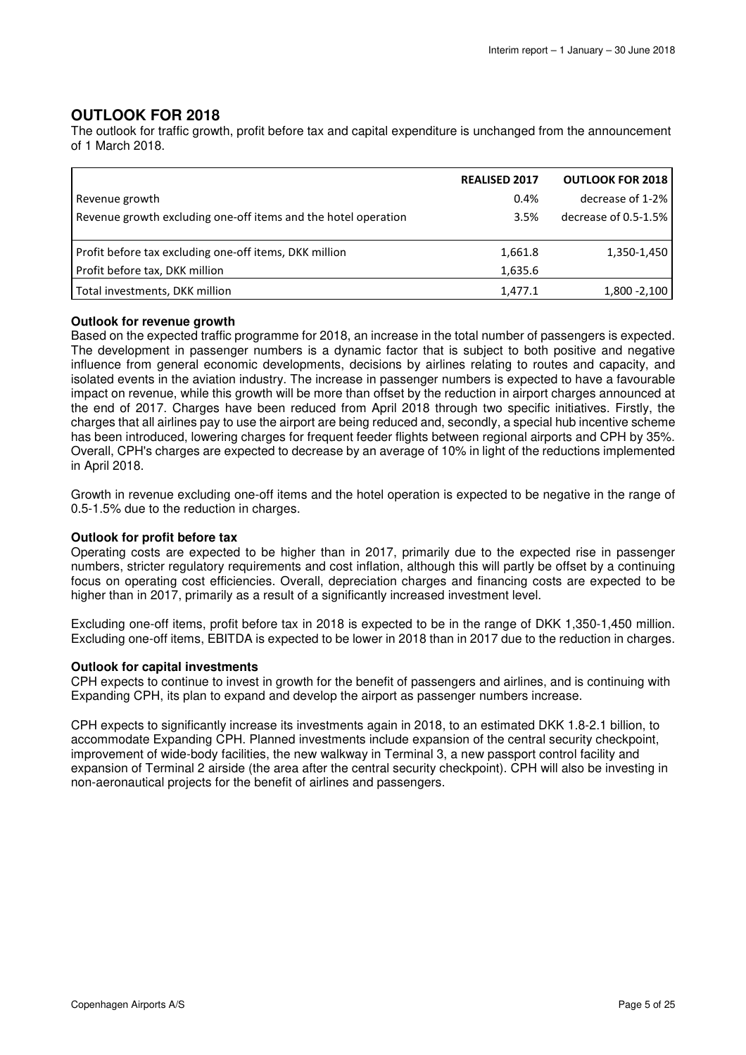### **OUTLOOK FOR 2018**

The outlook for traffic growth, profit before tax and capital expenditure is unchanged from the announcement of 1 March 2018.

|                                                                | <b>REALISED 2017</b> | <b>OUTLOOK FOR 2018</b> |
|----------------------------------------------------------------|----------------------|-------------------------|
| Revenue growth                                                 | 0.4%                 | decrease of 1-2%        |
| Revenue growth excluding one-off items and the hotel operation | 3.5%                 | decrease of 0.5-1.5%    |
|                                                                |                      |                         |
| Profit before tax excluding one-off items, DKK million         | 1,661.8              | 1,350-1,450             |
| Profit before tax, DKK million                                 | 1,635.6              |                         |
| Total investments, DKK million                                 | 1,477.1              | 1,800 - 2,100           |

### **Outlook for revenue growth**

Based on the expected traffic programme for 2018, an increase in the total number of passengers is expected. The development in passenger numbers is a dynamic factor that is subject to both positive and negative influence from general economic developments, decisions by airlines relating to routes and capacity, and isolated events in the aviation industry. The increase in passenger numbers is expected to have a favourable impact on revenue, while this growth will be more than offset by the reduction in airport charges announced at the end of 2017. Charges have been reduced from April 2018 through two specific initiatives. Firstly, the charges that all airlines pay to use the airport are being reduced and, secondly, a special hub incentive scheme has been introduced, lowering charges for frequent feeder flights between regional airports and CPH by 35%. Overall, CPH's charges are expected to decrease by an average of 10% in light of the reductions implemented in April 2018.

Growth in revenue excluding one-off items and the hotel operation is expected to be negative in the range of 0.5-1.5% due to the reduction in charges.

### **Outlook for profit before tax**

Operating costs are expected to be higher than in 2017, primarily due to the expected rise in passenger numbers, stricter regulatory requirements and cost inflation, although this will partly be offset by a continuing focus on operating cost efficiencies. Overall, depreciation charges and financing costs are expected to be higher than in 2017, primarily as a result of a significantly increased investment level.

Excluding one-off items, profit before tax in 2018 is expected to be in the range of DKK 1,350-1,450 million. Excluding one-off items, EBITDA is expected to be lower in 2018 than in 2017 due to the reduction in charges.

### **Outlook for capital investments**

CPH expects to continue to invest in growth for the benefit of passengers and airlines, and is continuing with Expanding CPH, its plan to expand and develop the airport as passenger numbers increase.

CPH expects to significantly increase its investments again in 2018, to an estimated DKK 1.8-2.1 billion, to accommodate Expanding CPH. Planned investments include expansion of the central security checkpoint, improvement of wide-body facilities, the new walkway in Terminal 3, a new passport control facility and expansion of Terminal 2 airside (the area after the central security checkpoint). CPH will also be investing in non-aeronautical projects for the benefit of airlines and passengers.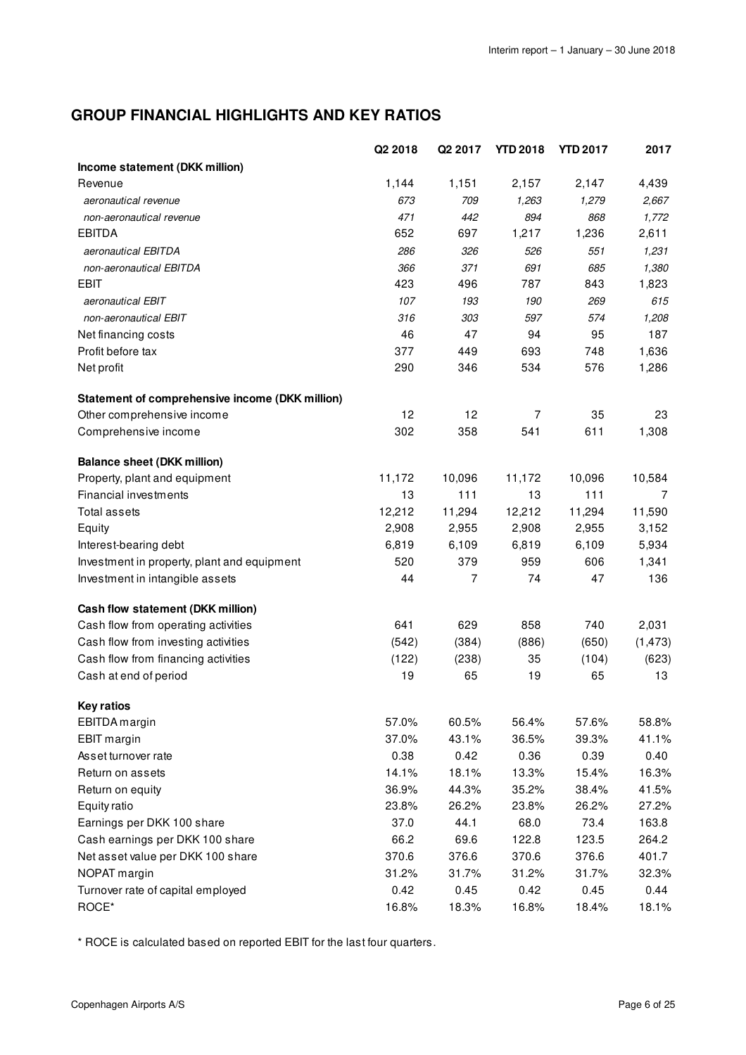## **GROUP FINANCIAL HIGHLIGHTS AND KEY RATIOS**

|                                                 | Q2 2018 | Q <sub>2</sub> 2017 | <b>YTD 2018</b> | <b>YTD 2017</b> | 2017     |
|-------------------------------------------------|---------|---------------------|-----------------|-----------------|----------|
| Income statement (DKK million)                  |         |                     |                 |                 |          |
| Revenue                                         | 1,144   | 1,151               | 2,157           | 2,147           | 4,439    |
| aeronautical revenue                            | 673     | 709                 | 1,263           | 1,279           | 2,667    |
| non-aeronautical revenue                        | 471     | 442                 | 894             | 868             | 1,772    |
| <b>EBITDA</b>                                   | 652     | 697                 | 1,217           | 1,236           | 2,611    |
| aeronautical EBITDA                             | 286     | 326                 | 526             | 551             | 1,231    |
| non-aeronautical EBITDA                         | 366     | 371                 | 691             | 685             | 1,380    |
| <b>EBIT</b>                                     | 423     | 496                 | 787             | 843             | 1,823    |
| aeronautical EBIT                               | 107     | 193                 | 190             | 269             | 615      |
| non-aeronautical EBIT                           | 316     | 303                 | 597             | 574             | 1,208    |
| Net financing costs                             | 46      | 47                  | 94              | 95              | 187      |
| Profit before tax                               | 377     | 449                 | 693             | 748             | 1,636    |
| Net profit                                      | 290     | 346                 | 534             | 576             | 1,286    |
| Statement of comprehensive income (DKK million) |         |                     |                 |                 |          |
| Other comprehensive income                      | 12      | 12                  | $\overline{7}$  | 35              | 23       |
| Comprehensive income                            | 302     | 358                 | 541             | 611             | 1,308    |
| <b>Balance sheet (DKK million)</b>              |         |                     |                 |                 |          |
| Property, plant and equipment                   | 11,172  | 10,096              | 11,172          | 10,096          | 10,584   |
| Financial investments                           | 13      | 111                 | 13              | 111             | 7        |
| Total assets                                    | 12,212  | 11,294              | 12,212          | 11,294          | 11,590   |
| Equity                                          | 2,908   | 2,955               | 2,908           | 2,955           | 3,152    |
| Interest-bearing debt                           | 6,819   | 6,109               | 6,819           | 6,109           | 5,934    |
| Investment in property, plant and equipment     | 520     | 379                 | 959             | 606             | 1,341    |
| Investment in intangible assets                 | 44      | $\overline{7}$      | 74              | 47              | 136      |
| Cash flow statement (DKK million)               |         |                     |                 |                 |          |
| Cash flow from operating activities             | 641     | 629                 | 858             | 740             | 2,031    |
| Cash flow from investing activities             | (542)   | (384)               | (886)           | (650)           | (1, 473) |
| Cash flow from financing activities             | (122)   | (238)               | 35              | (104)           | (623)    |
| Cash at end of period                           | 19      | 65                  | 19              | 65              | 13       |
| <b>Key ratios</b>                               |         |                     |                 |                 |          |
| EBITDA margin                                   | 57.0%   | 60.5%               | 56.4%           | 57.6%           | 58.8%    |
| <b>EBIT</b> margin                              | 37.0%   | 43.1%               | 36.5%           | 39.3%           | 41.1%    |
| Asset turnover rate                             | 0.38    | 0.42                | 0.36            | 0.39            | 0.40     |
| Return on assets                                | 14.1%   | 18.1%               | 13.3%           | 15.4%           | 16.3%    |
| Return on equity                                | 36.9%   | 44.3%               | 35.2%           | 38.4%           | 41.5%    |
| Equity ratio                                    | 23.8%   | 26.2%               | 23.8%           | 26.2%           | 27.2%    |
| Earnings per DKK 100 share                      | 37.0    | 44.1                | 68.0            | 73.4            | 163.8    |
| Cash earnings per DKK 100 share                 | 66.2    | 69.6                | 122.8           | 123.5           | 264.2    |
| Net asset value per DKK 100 share               | 370.6   | 376.6               | 370.6           | 376.6           | 401.7    |
| NOPAT margin                                    | 31.2%   | 31.7%               | 31.2%           | 31.7%           | 32.3%    |
| Turnover rate of capital employed               | 0.42    | 0.45                | 0.42            | 0.45            | 0.44     |
| ROCE*                                           | 16.8%   | 18.3%               | 16.8%           | 18.4%           | 18.1%    |

\* ROCE is calculated based on reported EBIT for the last four quarters.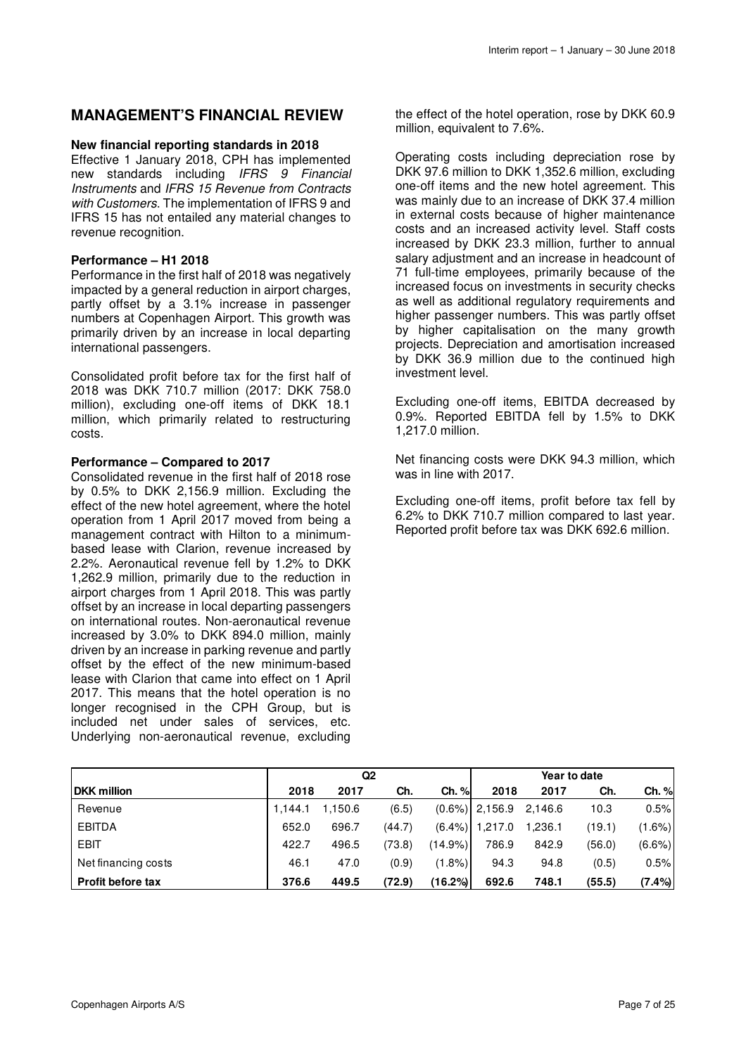### **MANAGEMENT'S FINANCIAL REVIEW**

### **New financial reporting standards in 2018**

Effective 1 January 2018, CPH has implemented new standards including IFRS 9 Financial Instruments and IFRS 15 Revenue from Contracts with Customers. The implementation of IFRS 9 and IFRS 15 has not entailed any material changes to revenue recognition.

### **Performance – H1 2018**

Performance in the first half of 2018 was negatively impacted by a general reduction in airport charges, partly offset by a 3.1% increase in passenger numbers at Copenhagen Airport. This growth was primarily driven by an increase in local departing international passengers.

Consolidated profit before tax for the first half of 2018 was DKK 710.7 million (2017: DKK 758.0 million), excluding one-off items of DKK 18.1 million, which primarily related to restructuring costs.

### **Performance – Compared to 2017**

Consolidated revenue in the first half of 2018 rose by 0.5% to DKK 2,156.9 million. Excluding the effect of the new hotel agreement, where the hotel operation from 1 April 2017 moved from being a management contract with Hilton to a minimumbased lease with Clarion, revenue increased by 2.2%. Aeronautical revenue fell by 1.2% to DKK 1,262.9 million, primarily due to the reduction in airport charges from 1 April 2018. This was partly offset by an increase in local departing passengers on international routes. Non-aeronautical revenue increased by 3.0% to DKK 894.0 million, mainly driven by an increase in parking revenue and partly offset by the effect of the new minimum-based lease with Clarion that came into effect on 1 April 2017. This means that the hotel operation is no longer recognised in the CPH Group, but is included net under sales of services, etc. Underlying non-aeronautical revenue, excluding

the effect of the hotel operation, rose by DKK 60.9 million, equivalent to 7.6%.

Operating costs including depreciation rose by DKK 97.6 million to DKK 1,352.6 million, excluding one-off items and the new hotel agreement. This was mainly due to an increase of DKK 37.4 million in external costs because of higher maintenance costs and an increased activity level. Staff costs increased by DKK 23.3 million, further to annual salary adjustment and an increase in headcount of 71 full-time employees, primarily because of the increased focus on investments in security checks as well as additional regulatory requirements and higher passenger numbers. This was partly offset by higher capitalisation on the many growth projects. Depreciation and amortisation increased by DKK 36.9 million due to the continued high investment level.

Excluding one-off items, EBITDA decreased by 0.9%. Reported EBITDA fell by 1.5% to DKK 1,217.0 million.

Net financing costs were DKK 94.3 million, which was in line with 2017.

Excluding one-off items, profit before tax fell by 6.2% to DKK 710.7 million compared to last year. Reported profit before tax was DKK 692.6 million.

|                          | Q <sub>2</sub> |         |        |            |                   |         | Year to date |           |
|--------------------------|----------------|---------|--------|------------|-------------------|---------|--------------|-----------|
| <b>DKK</b> million       | 2018           | 2017    | Ch.    | Ch. %      | 2018              | 2017    | Ch.          | Ch. %     |
| Revenue                  | 1.144.1        | 1.150.6 | (6.5)  |            | $(0.6\%)$ 2,156.9 | 2.146.6 | 10.3         | 0.5%      |
| <b>EBITDA</b>            | 652.0          | 696.7   | (44.7) | $(6.4\%)$  | 1.217.0           | 1.236.1 | (19.1)       | $(1.6\%)$ |
| <b>EBIT</b>              | 422.7          | 496.5   | (73.8) | $(14.9\%)$ | 786.9             | 842.9   | (56.0)       | $(6.6\%)$ |
| Net financing costs      | 46.1           | 47.0    | (0.9)  | $(1.8\%)$  | 94.3              | 94.8    | (0.5)        | 0.5%      |
| <b>Profit before tax</b> | 376.6          | 449.5   | (72.9) | (16.2%)    | 692.6             | 748.1   | (55.5)       | (7.4%)    |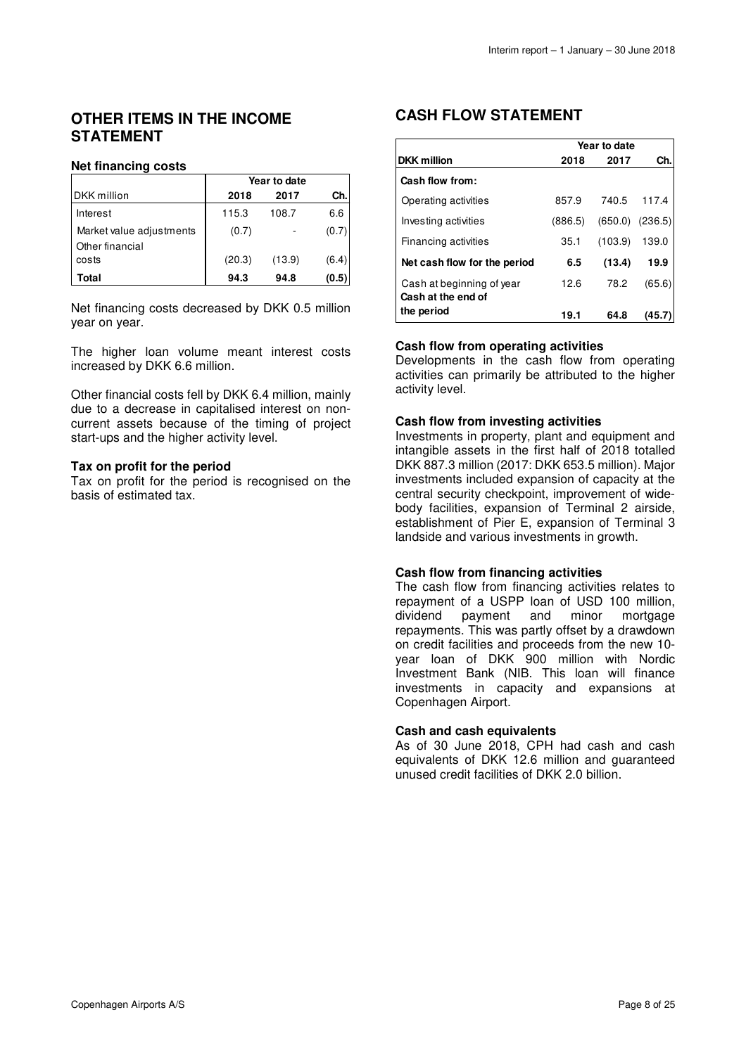### **OTHER ITEMS IN THE INCOME STATEMENT**

### **Net financing costs**

|                                             | Year to date |        |       |  |  |
|---------------------------------------------|--------------|--------|-------|--|--|
| <b>DKK</b> million                          | 2018         | 2017   | Ch.   |  |  |
| Interest                                    | 115.3        | 108.7  | 6.6   |  |  |
| Market value adjustments<br>Other financial | (0.7)        |        | (0.7) |  |  |
| costs                                       | (20.3)       | (13.9) | (6.4) |  |  |
| Total                                       | 94.3         | 94.8   | (0.5) |  |  |

Net financing costs decreased by DKK 0.5 million year on year.

The higher loan volume meant interest costs increased by DKK 6.6 million.

Other financial costs fell by DKK 6.4 million, mainly due to a decrease in capitalised interest on noncurrent assets because of the timing of project start-ups and the higher activity level.

### **Tax on profit for the period**

Tax on profit for the period is recognised on the basis of estimated tax.

### **CASH FLOW STATEMENT**

|                                                 | Year to date |         |         |  |  |
|-------------------------------------------------|--------------|---------|---------|--|--|
| <b>DKK</b> million                              | 2018         | 2017    | Ch.     |  |  |
| Cash flow from:                                 |              |         |         |  |  |
| Operating activities                            | 857.9        | 740.5   | 117.4   |  |  |
| Investing activities                            | (886.5)      | (650.0) | (236.5) |  |  |
| Financing activities                            | 35.1         | (103.9) | 139.0   |  |  |
| Net cash flow for the period                    | 6.5          | (13.4)  | 19.9    |  |  |
| Cash at beginning of year<br>Cash at the end of | 12.6         | 78.2    | (65.6)  |  |  |
| the period                                      | 19.1         | 64.8    | (45.7   |  |  |

### **Cash flow from operating activities**

Developments in the cash flow from operating activities can primarily be attributed to the higher activity level.

### **Cash flow from investing activities**

Investments in property, plant and equipment and intangible assets in the first half of 2018 totalled DKK 887.3 million (2017: DKK 653.5 million). Major investments included expansion of capacity at the central security checkpoint, improvement of widebody facilities, expansion of Terminal 2 airside, establishment of Pier E, expansion of Terminal 3 landside and various investments in growth.

### **Cash flow from financing activities**

The cash flow from financing activities relates to repayment of a USPP loan of USD 100 million, dividend payment and minor mortgage repayments. This was partly offset by a drawdown on credit facilities and proceeds from the new 10 year loan of DKK 900 million with Nordic Investment Bank (NIB. This loan will finance investments in capacity and expansions at Copenhagen Airport.

### **Cash and cash equivalents**

As of 30 June 2018, CPH had cash and cash equivalents of DKK 12.6 million and guaranteed unused credit facilities of DKK 2.0 billion.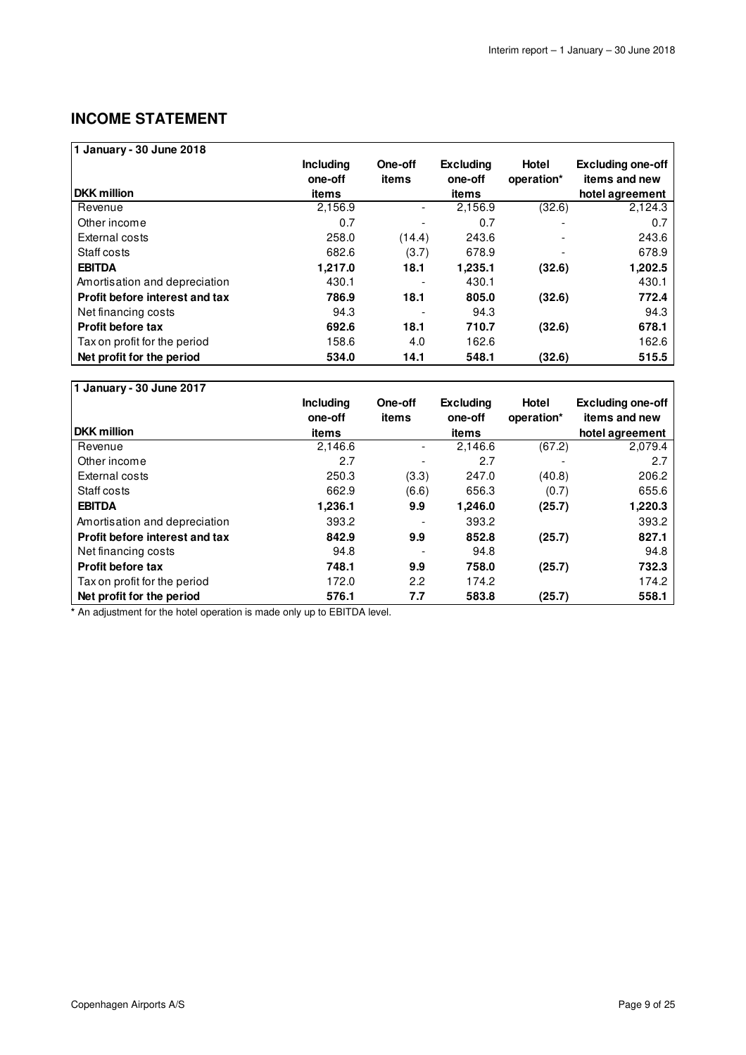### **INCOME STATEMENT**

| 1 January - 30 June 2018       |                  |         |                  |              |                          |
|--------------------------------|------------------|---------|------------------|--------------|--------------------------|
|                                | <b>Including</b> | One-off | <b>Excluding</b> | <b>Hotel</b> | <b>Excluding one-off</b> |
|                                | one-off          | items   | one-off          | operation*   | items and new            |
| <b>DKK</b> million             | items            |         | items            |              | hotel agreement          |
| Revenue                        | 2,156.9          |         | 2,156.9          | (32.6)       | 2,124.3                  |
| Other income                   | 0.7              |         | 0.7              |              | 0.7                      |
| External costs                 | 258.0            | (14.4)  | 243.6            |              | 243.6                    |
| Staff costs                    | 682.6            | (3.7)   | 678.9            |              | 678.9                    |
| <b>EBITDA</b>                  | 1.217.0          | 18.1    | 1,235.1          | (32.6)       | 1,202.5                  |
| Amortisation and depreciation  | 430.1            |         | 430.1            |              | 430.1                    |
| Profit before interest and tax | 786.9            | 18.1    | 805.0            | (32.6)       | 772.4                    |
| Net financing costs            | 94.3             |         | 94.3             |              | 94.3                     |
| <b>Profit before tax</b>       | 692.6            | 18.1    | 710.7            | (32.6)       | 678.1                    |
| Tax on profit for the period   | 158.6            | 4.0     | 162.6            |              | 162.6                    |
| Net profit for the period      | 534.0            | 14.1    | 548.1            | (32.6)       | 515.5                    |

#### **1 January - 30 June 2017 DKK million** Revenue - 2,146.6 2,146.6 (67.2) 2,079.4 Other income - 2.7 2.7 - 2.7 External costs (3.3) 250.3 247.0 (40.8) 206.2 Staff costs (6.6) 662.9 656.3 (0.7) 655.6 **EBITDA 9.9 1,236.1 1,246.0 (25.7) 1,220.3**  Amortisation and depreciation **393.2** 1993.2 **393.2** 393.2 **Profit before interest and tax 842.9 9.9 852.8 (25.7) 827.1**  Net financing costs 694.8 94.8 94.8 94.8 **Profit before tax 748.1 9.9 758.0 (25.7) 732.3 174.2 758.0 758.0 732.3 174.2 174.2** Tax on profit for the period 172.0 2.2 174.2 174.2 **Including one-off items**<br>2,146.6 **One-off items Excluding one-off items Hotel operation\* Excluding one-off items and new hotel agreement**

**Net profit for the period 576.1 7.7 583.8 (25.7) 558.1** 

**\*** An adjustment for the hotel operation is made only up to EBITDA level.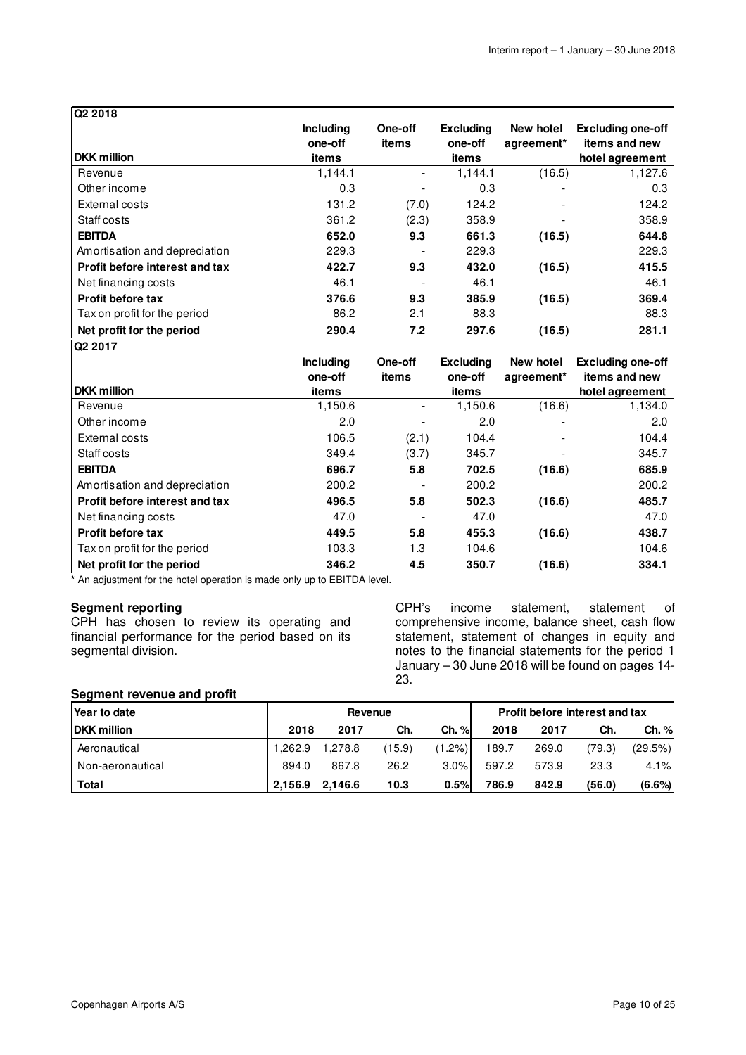| Q <sub>2</sub> 2018            |                             |                  |                             |                                     |                                           |
|--------------------------------|-----------------------------|------------------|-----------------------------|-------------------------------------|-------------------------------------------|
|                                | <b>Including</b><br>one-off | One-off<br>items | <b>Excluding</b><br>one-off | New hotel<br>agreement <sup>*</sup> | <b>Excluding one-off</b><br>items and new |
| <b>DKK</b> million             | items                       |                  | items                       |                                     | hotel agreement                           |
| Revenue                        | 1,144.1                     |                  | 1,144.1                     | (16.5)                              | 1,127.6                                   |
| Other income                   | 0.3                         |                  | 0.3                         |                                     | 0.3                                       |
| External costs                 | 131.2                       | (7.0)            | 124.2                       |                                     | 124.2                                     |
| Staff costs                    | 361.2                       | (2.3)            | 358.9                       |                                     | 358.9                                     |
| <b>EBITDA</b>                  | 652.0                       | 9.3              | 661.3                       | (16.5)                              | 644.8                                     |
| Amortisation and depreciation  | 229.3                       |                  | 229.3                       |                                     | 229.3                                     |
| Profit before interest and tax | 422.7                       | 9.3              | 432.0                       | (16.5)                              | 415.5                                     |
| Net financing costs            | 46.1                        |                  | 46.1                        |                                     | 46.1                                      |
| Profit before tax              | 376.6                       | 9.3              | 385.9                       | (16.5)                              | 369.4                                     |
| Tax on profit for the period   | 86.2                        | 2.1              | 88.3                        |                                     | 88.3                                      |
| Net profit for the period      | 290.4                       | 7.2              | 297.6                       | (16.5)                              | 281.1                                     |
| <b>Q2 2017</b>                 |                             |                  |                             |                                     |                                           |

| .                              | <b>Including</b><br>one-off | One-off<br>items | <b>Excluding</b><br>one-off | New hotel<br>agreement <sup>*</sup> | <b>Excluding one-off</b><br>items and new |
|--------------------------------|-----------------------------|------------------|-----------------------------|-------------------------------------|-------------------------------------------|
| <b>DKK</b> million             | items                       |                  | items                       |                                     | hotel agreement                           |
| Revenue                        | 1,150.6                     |                  | 1,150.6                     | (16.6)                              | 1,134.0                                   |
| Other income                   | 2.0                         |                  | 2.0                         |                                     | 2.0                                       |
| External costs                 | 106.5                       | (2.1)            | 104.4                       |                                     | 104.4                                     |
| Staff costs                    | 349.4                       | (3.7)            | 345.7                       |                                     | 345.7                                     |
| <b>EBITDA</b>                  | 696.7                       | 5.8              | 702.5                       | (16.6)                              | 685.9                                     |
| Amortisation and depreciation  | 200.2                       |                  | 200.2                       |                                     | 200.2                                     |
| Profit before interest and tax | 496.5                       | 5.8              | 502.3                       | (16.6)                              | 485.7                                     |
| Net financing costs            | 47.0                        |                  | 47.0                        |                                     | 47.0                                      |
| Profit before tax              | 449.5                       | 5.8              | 455.3                       | (16.6)                              | 438.7                                     |
| Tax on profit for the period   | 103.3                       | 1.3              | 104.6                       |                                     | 104.6                                     |
| Net profit for the period      | 346.2                       | 4.5              | 350.7                       | (16.6)                              | 334.1                                     |

**\*** An adjustment for the hotel operation is made only up to EBITDA level.

### **Segment reporting**

CPH has chosen to review its operating and financial performance for the period based on its segmental division.

CPH's income statement, statement of comprehensive income, balance sheet, cash flow statement, statement of changes in equity and notes to the financial statements for the period 1 January – 30 June 2018 will be found on pages 14- 23.

### **Segment revenue and profit**

| Year to date       |         |         | Revenue |           |       |       | Profit before interest and tax |         |
|--------------------|---------|---------|---------|-----------|-------|-------|--------------------------------|---------|
| <b>DKK</b> million | 2018    | 2017    | Ch.     | Ch. %     | 2018  | 2017  | Ch.                            | Ch. %   |
| Aeronautical       | 1.262.9 | 1.278.8 | (15.9)  | $(1.2\%)$ | 189.7 | 269.0 | (79.3)                         | (29.5%) |
| Non-aeronautical   | 894.0   | 867.8   | 26.2    | $3.0\%$   | 597.2 | 573.9 | 23.3                           | 4.1%    |
| Total              | 2,156.9 | 2.146.6 | 10.3    | 0.5%      | 786.9 | 842.9 | (56.0)                         | (6.6%)  |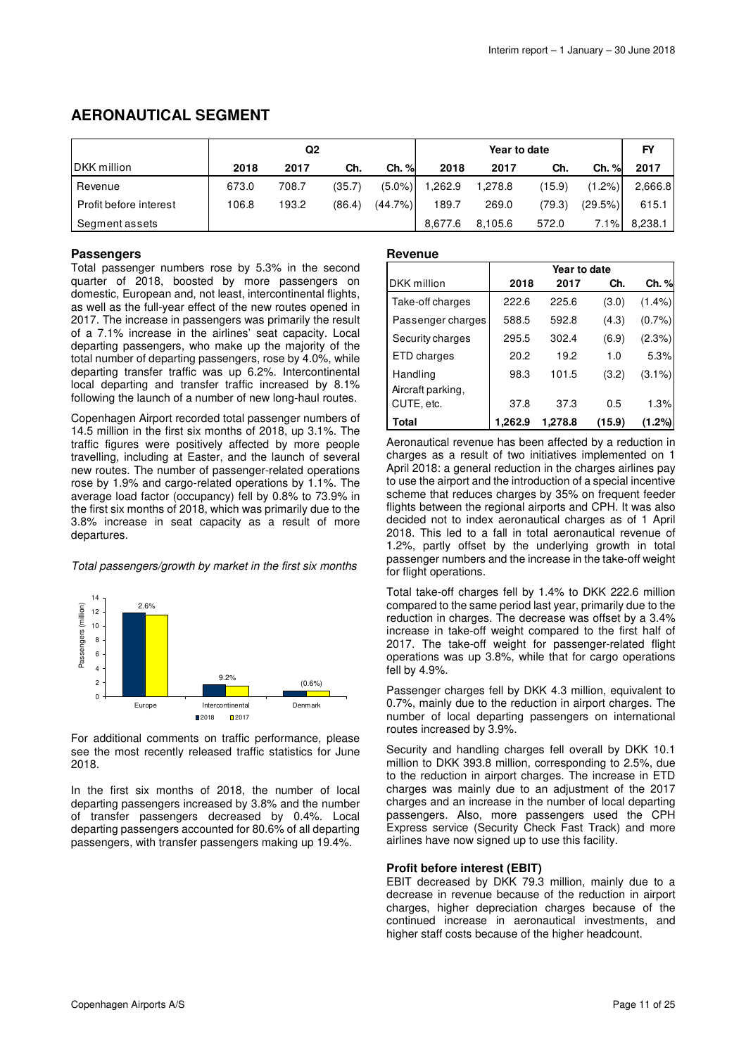### **AERONAUTICAL SEGMENT**

|                        | Q2    |       |        |            | Year to date |         |        |           | <b>FY</b> |
|------------------------|-------|-------|--------|------------|--------------|---------|--------|-----------|-----------|
| DKK million            | 2018  | 2017  | Ch.    | Ch. %      | 2018         | 2017    | Ch.    | Ch. %     | 2017      |
| Revenue                | 673.0 | 708.7 | (35.7) | $(5.0\%)$  | 1,262.9      | 1,278.8 | (15.9) | $(1.2\%)$ | 2,666.8   |
| Profit before interest | 106.8 | 193.2 | (86.4) | $(44.7\%)$ | 189.7        | 269.0   | (79.3) | (29.5%)   | 615.1     |
| Segment assets         |       |       |        |            | 8.677.6      | 8.105.6 | 572.0  | 7.1%      | 8.238.1   |

### **Passengers**

Total passenger numbers rose by 5.3% in the second quarter of 2018, boosted by more passengers on domestic, European and, not least, intercontinental flights, as well as the full-year effect of the new routes opened in 2017. The increase in passengers was primarily the result of a 7.1% increase in the airlines' seat capacity. Local departing passengers, who make up the majority of the total number of departing passengers, rose by 4.0%, while departing transfer traffic was up 6.2%. Intercontinental local departing and transfer traffic increased by 8.1% following the launch of a number of new long-haul routes.

Copenhagen Airport recorded total passenger numbers of 14.5 million in the first six months of 2018, up 3.1%. The traffic figures were positively affected by more people travelling, including at Easter, and the launch of several new routes. The number of passenger-related operations rose by 1.9% and cargo-related operations by 1.1%. The average load factor (occupancy) fell by 0.8% to 73.9% in the first six months of 2018, which was primarily due to the 3.8% increase in seat capacity as a result of more departures.

Total passengers/growth by market in the first six months



For additional comments on traffic performance, please see the most recently released traffic statistics for June 2018.

In the first six months of 2018, the number of local departing passengers increased by 3.8% and the number of transfer passengers decreased by 0.4%. Local departing passengers accounted for 80.6% of all departing passengers, with transfer passengers making up 19.4%.

#### **Revenue**

|                               | Year to date |         |        |           |  |  |  |  |
|-------------------------------|--------------|---------|--------|-----------|--|--|--|--|
| DKK million                   | 2018         | 2017    | Ch.    | Ch. %     |  |  |  |  |
| Take-off charges              | 222.6        | 225.6   | (3.0)  | $(1.4\%)$ |  |  |  |  |
| Passenger charges             | 588.5        | 592.8   | (4.3)  | $(0.7\%)$ |  |  |  |  |
| Security charges              | 295.5        | 302.4   | (6.9)  | $(2.3\%)$ |  |  |  |  |
| ETD charges                   | 20.2         | 19.2    | 1.0    | 5.3%      |  |  |  |  |
| Handling<br>Aircraft parking, | 98.3         | 101.5   | (3.2)  | $(3.1\%)$ |  |  |  |  |
| CUTE, etc.                    | 37.8         | 37.3    | 0.5    | 1.3%      |  |  |  |  |
| Total                         | 1,262.9      | 1,278.8 | (15.9) | (1.2%)    |  |  |  |  |

Aeronautical revenue has been affected by a reduction in charges as a result of two initiatives implemented on 1 April 2018: a general reduction in the charges airlines pay to use the airport and the introduction of a special incentive scheme that reduces charges by 35% on frequent feeder flights between the regional airports and CPH. It was also decided not to index aeronautical charges as of 1 April 2018. This led to a fall in total aeronautical revenue of 1.2%, partly offset by the underlying growth in total passenger numbers and the increase in the take-off weight for flight operations.

Total take-off charges fell by 1.4% to DKK 222.6 million compared to the same period last year, primarily due to the reduction in charges. The decrease was offset by a 3.4% increase in take-off weight compared to the first half of 2017. The take-off weight for passenger-related flight operations was up 3.8%, while that for cargo operations fell by 4.9%.

Passenger charges fell by DKK 4.3 million, equivalent to 0.7%, mainly due to the reduction in airport charges. The number of local departing passengers on international routes increased by 3.9%.

Security and handling charges fell overall by DKK 10.1 million to DKK 393.8 million, corresponding to 2.5%, due to the reduction in airport charges. The increase in ETD charges was mainly due to an adjustment of the 2017 charges and an increase in the number of local departing passengers. Also, more passengers used the CPH Express service (Security Check Fast Track) and more airlines have now signed up to use this facility.

### **Profit before interest (EBIT)**

EBIT decreased by DKK 79.3 million, mainly due to a decrease in revenue because of the reduction in airport charges, higher depreciation charges because of the continued increase in aeronautical investments, and higher staff costs because of the higher headcount.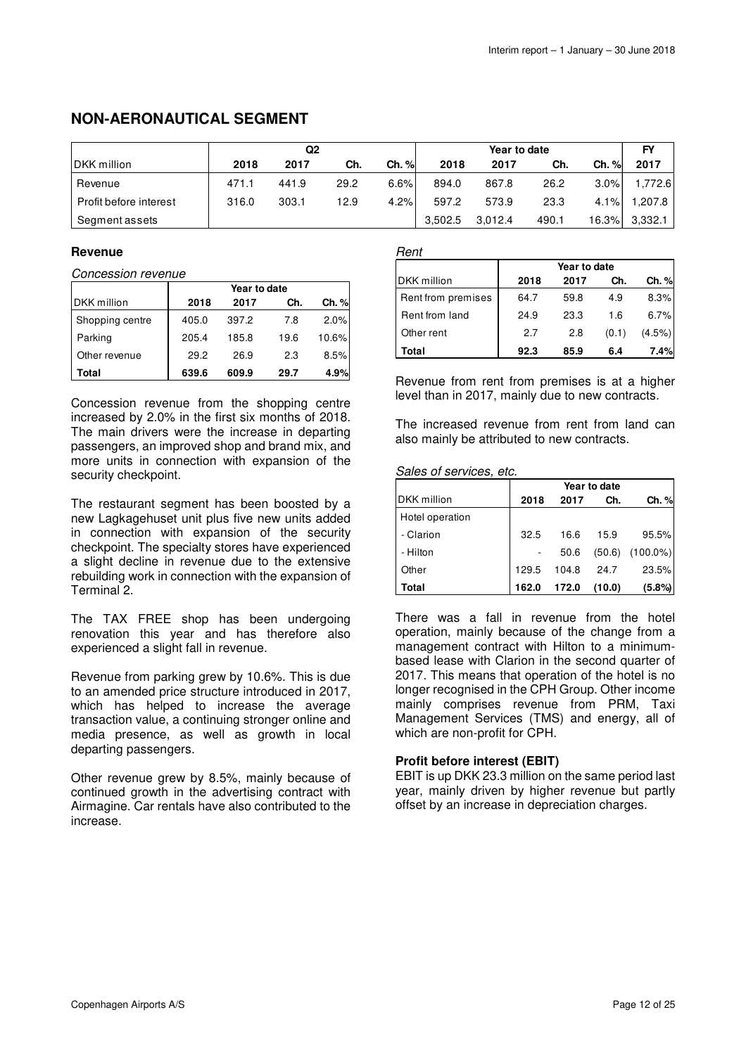### **NON-AERONAUTICAL SEGMENT**

|                        | Q2    |       |      | Year to date |         |         | FY    |       |         |
|------------------------|-------|-------|------|--------------|---------|---------|-------|-------|---------|
| DKK million            | 2018  | 2017  | Ch.  | Ch. %        | 2018    | 2017    | Ch.   | Ch. % | 2017    |
| Revenue                | 471.1 | 441.9 | 29.2 | 6.6%         | 894.0   | 867.8   | 26.2  | 3.0%  | 1.772.6 |
| Profit before interest | 316.0 | 303.1 | 12.9 | 4.2%         | 597.2   | 573.9   | 23.3  | 4.1%  | 1,207.8 |
| Segment assets         |       |       |      |              | 3.502.5 | 3.012.4 | 490.1 | 16.3% | 3,332.1 |

### **Revenue**

Concession revenue

|                 | Year to date |       |      |       |  |
|-----------------|--------------|-------|------|-------|--|
| DKK million     | 2018         | 2017  | Ch.  | Ch. % |  |
| Shopping centre | 405.0        | 397.2 | 7.8  | 2.0%  |  |
| Parking         | 205.4        | 185.8 | 19.6 | 10.6% |  |
| Other revenue   | 29.2         | 26.9  | 2.3  | 8.5%  |  |
| Total           | 639.6        | 609.9 | 29.7 | 4.9%  |  |

Concession revenue from the shopping centre increased by 2.0% in the first six months of 2018. The main drivers were the increase in departing passengers, an improved shop and brand mix, and more units in connection with expansion of the security checkpoint.

The restaurant segment has been boosted by a new Lagkagehuset unit plus five new units added in connection with expansion of the security checkpoint. The specialty stores have experienced a slight decline in revenue due to the extensive rebuilding work in connection with the expansion of Terminal 2.

The TAX FREE shop has been undergoing renovation this year and has therefore also experienced a slight fall in revenue.

Revenue from parking grew by 10.6%. This is due to an amended price structure introduced in 2017, which has helped to increase the average transaction value, a continuing stronger online and media presence, as well as growth in local departing passengers.

Other revenue grew by 8.5%, mainly because of continued growth in the advertising contract with Airmagine. Car rentals have also contributed to the increase.

### Rent

|                    | Year to date |      |       |        |  |  |
|--------------------|--------------|------|-------|--------|--|--|
| DKK million        | 2018         | 2017 | Ch.   | Ch. %  |  |  |
| Rent from premises | 64.7         | 59.8 | 4.9   | 8.3%   |  |  |
| Rent from land     | 24.9         | 23.3 | 1.6   | 6.7%   |  |  |
| Other rent         | 2.7          | 2.8  | (0.1) | (4.5%) |  |  |
| Total              | 92.3         | 85.9 | 6.4   | 7.4%   |  |  |

Revenue from rent from premises is at a higher level than in 2017, mainly due to new contracts.

The increased revenue from rent from land can also mainly be attributed to new contracts.

Sales of services, etc.

|                    | Year to date |       |        |             |  |  |
|--------------------|--------------|-------|--------|-------------|--|--|
| <b>DKK</b> million | 2018         | 2017  | Ch.    | Ch. %       |  |  |
| Hotel operation    |              |       |        |             |  |  |
| - Clarion          | 32.5         | 16.6  | 15.9   | 95.5%       |  |  |
| - Hilton           |              | 50.6  | (50.6) | $(100.0\%)$ |  |  |
| Other              | 129.5        | 104.8 | 24.7   | 23.5%       |  |  |
| Total              | 162.0        | 172.0 | (10.0) | (5.8%)      |  |  |

There was a fall in revenue from the hotel operation, mainly because of the change from a management contract with Hilton to a minimumbased lease with Clarion in the second quarter of 2017. This means that operation of the hotel is no longer recognised in the CPH Group. Other income mainly comprises revenue from PRM, Taxi Management Services (TMS) and energy, all of which are non-profit for CPH.

### **Profit before interest (EBIT)**

EBIT is up DKK 23.3 million on the same period last year, mainly driven by higher revenue but partly offset by an increase in depreciation charges.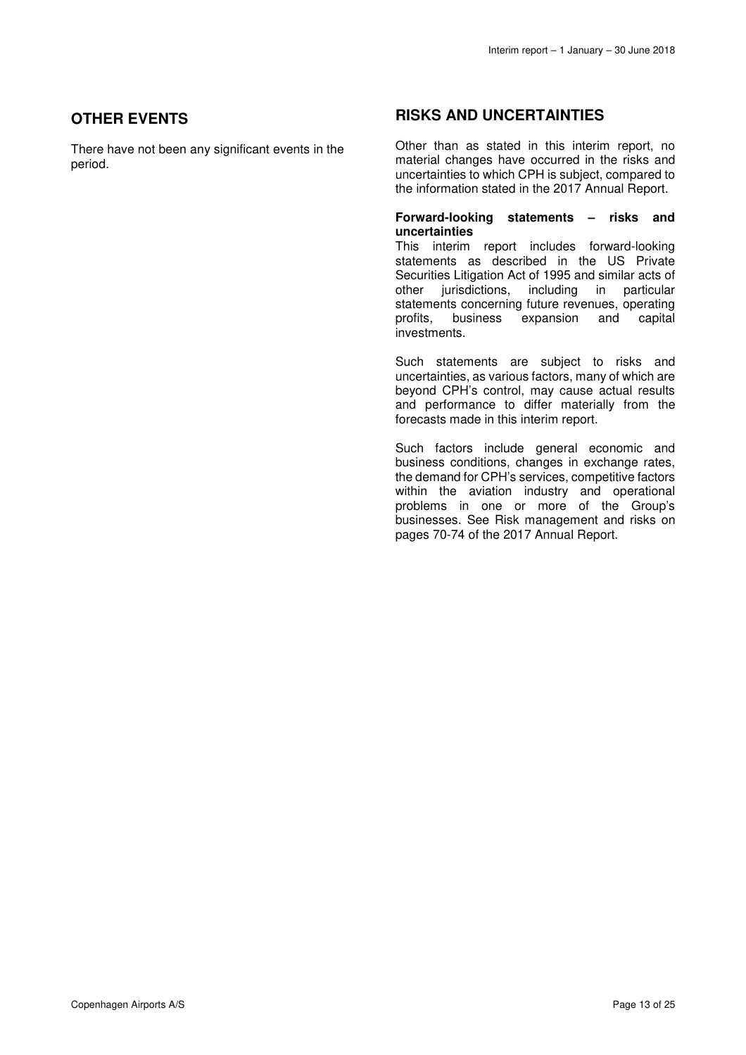### **OTHER EVENTS**

There have not been any significant events in the period.

### **RISKS AND UNCERTAINTIES**

Other than as stated in this interim report, no material changes have occurred in the risks and uncertainties to which CPH is subject, compared to the information stated in the 2017 Annual Report.

#### **Forward-looking statements – risks and uncertainties**

This interim report includes forward-looking statements as described in the US Private Securities Litigation Act of 1995 and similar acts of other iurisdictions, including in particular jurisdictions, including in particular statements concerning future revenues, operating<br>profits, business expansion and capital business expansion and capital investments.

Such statements are subject to risks and uncertainties, as various factors, many of which are beyond CPH's control, may cause actual results and performance to differ materially from the forecasts made in this interim report.

Such factors include general economic and business conditions, changes in exchange rates, the demand for CPH's services, competitive factors within the aviation industry and operational problems in one or more of the Group's businesses. See Risk management and risks on pages 70-74 of the 2017 Annual Report.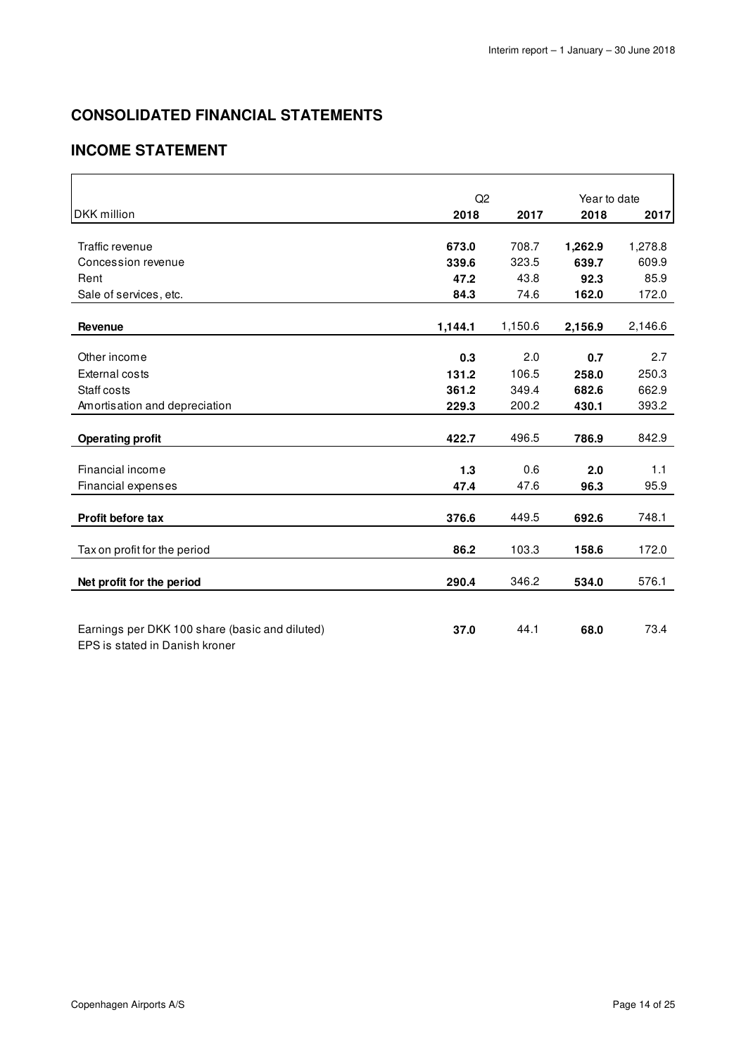## **CONSOLIDATED FINANCIAL STATEMENTS**

### **INCOME STATEMENT**

|                                                | Q2      | Year to date |         |         |
|------------------------------------------------|---------|--------------|---------|---------|
| <b>DKK</b> million                             | 2018    | 2017         | 2018    | 2017    |
|                                                |         |              |         |         |
| Traffic revenue                                | 673.0   | 708.7        | 1,262.9 | 1,278.8 |
| Concession revenue                             | 339.6   | 323.5        | 639.7   | 609.9   |
| Rent                                           | 47.2    | 43.8         | 92.3    | 85.9    |
| Sale of services, etc.                         | 84.3    | 74.6         | 162.0   | 172.0   |
| Revenue                                        | 1,144.1 | 1,150.6      | 2,156.9 | 2,146.6 |
|                                                |         |              |         |         |
| Other income                                   | 0.3     | 2.0          | 0.7     | 2.7     |
| <b>External costs</b>                          | 131.2   | 106.5        | 258.0   | 250.3   |
| Staff costs                                    | 361.2   | 349.4        | 682.6   | 662.9   |
| Amortisation and depreciation                  | 229.3   | 200.2        | 430.1   | 393.2   |
|                                                |         |              |         |         |
| <b>Operating profit</b>                        | 422.7   | 496.5        | 786.9   | 842.9   |
|                                                |         |              |         |         |
| Financial income                               | 1.3     | 0.6          | 2.0     | 1.1     |
| Financial expenses                             | 47.4    | 47.6         | 96.3    | 95.9    |
|                                                |         |              |         |         |
| Profit before tax                              | 376.6   | 449.5        | 692.6   | 748.1   |
| Tax on profit for the period                   | 86.2    | 103.3        | 158.6   | 172.0   |
|                                                |         |              |         |         |
| Net profit for the period                      | 290.4   | 346.2        | 534.0   | 576.1   |
|                                                |         |              |         |         |
|                                                |         |              |         |         |
| Earnings per DKK 100 share (basic and diluted) | 37.0    | 44.1         | 68.0    | 73.4    |
| EPS is stated in Danish kroner                 |         |              |         |         |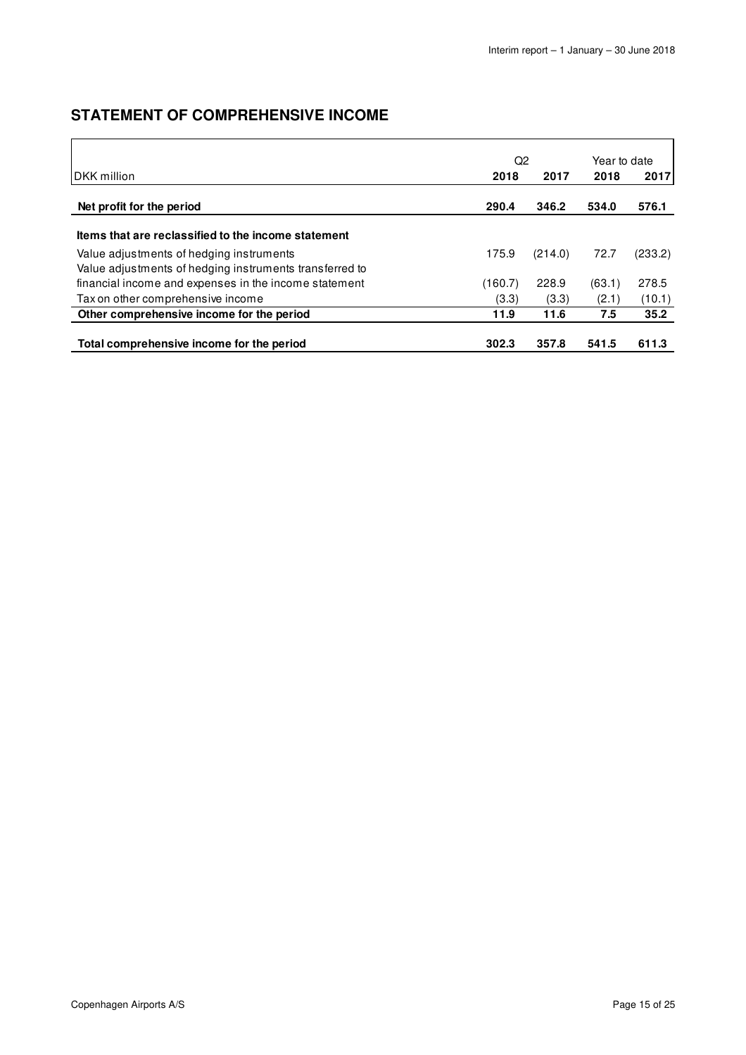### **STATEMENT OF COMPREHENSIVE INCOME**

|                                                                                                     | Q2      |         |        | Year to date |
|-----------------------------------------------------------------------------------------------------|---------|---------|--------|--------------|
| IDKK million                                                                                        | 2018    | 2017    | 2018   | 2017         |
| Net profit for the period                                                                           | 290.4   | 346.2   | 534.0  | 576.1        |
| Items that are reclassified to the income statement                                                 |         |         |        |              |
| Value adjustments of hedging instruments<br>Value adjustments of hedging instruments transferred to | 175.9   | (214.0) | 72.7   | (233.2)      |
| financial income and expenses in the income statement                                               | (160.7) | 228.9   | (63.1) | 278.5        |
| Tax on other comprehensive income                                                                   | (3.3)   | (3.3)   | (2.1)  | (10.1)       |
| Other comprehensive income for the period                                                           | 11.9    | 11.6    | 7.5    | 35.2         |
| Total comprehensive income for the period                                                           | 302.3   | 357.8   | 541.5  | 611.3        |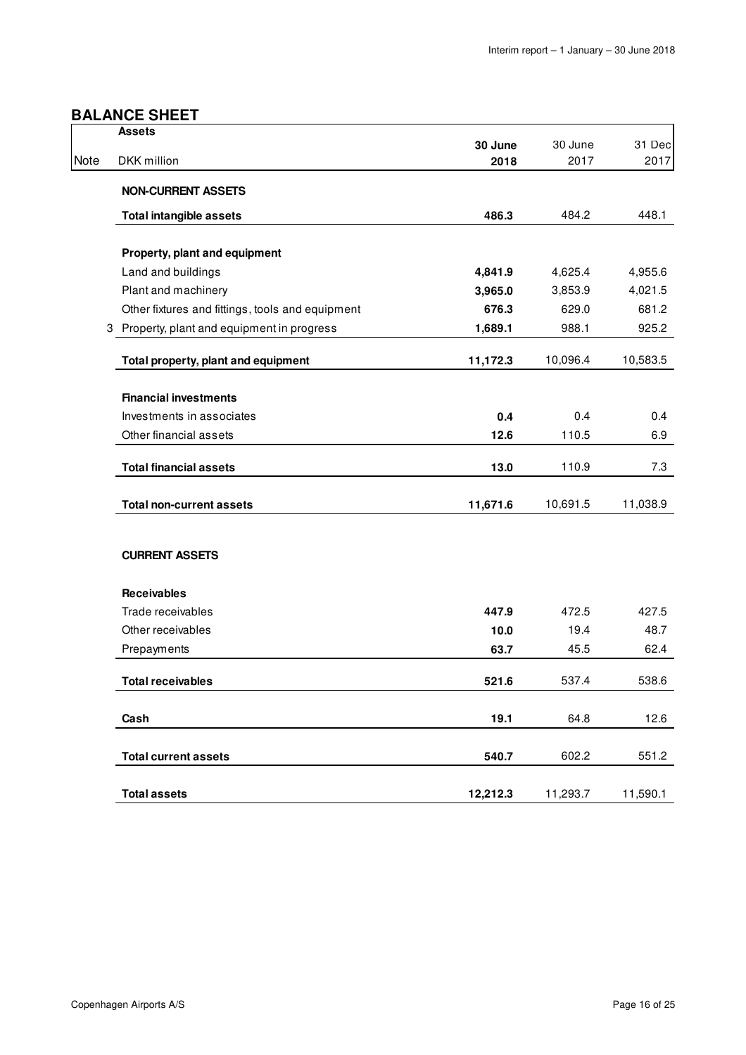### **BALANCE SHEET**

|      | <b>Assets</b>                                    |          |                 |                |
|------|--------------------------------------------------|----------|-----------------|----------------|
| Note | DKK million                                      | 30 June  | 30 June<br>2017 | 31 Dec<br>2017 |
|      |                                                  | 2018     |                 |                |
|      | <b>NON-CURRENT ASSETS</b>                        |          |                 |                |
|      | <b>Total intangible assets</b>                   | 486.3    | 484.2           | 448.1          |
|      |                                                  |          |                 |                |
|      | Property, plant and equipment                    |          | 4,625.4         |                |
|      | Land and buildings                               | 4,841.9  | 3,853.9         | 4,955.6        |
|      | Plant and machinery                              | 3,965.0  |                 | 4,021.5        |
|      | Other fixtures and fittings, tools and equipment | 676.3    | 629.0           | 681.2          |
|      | 3 Property, plant and equipment in progress      | 1,689.1  | 988.1           | 925.2          |
|      | Total property, plant and equipment              | 11,172.3 | 10,096.4        | 10,583.5       |
|      |                                                  |          |                 |                |
|      | <b>Financial investments</b>                     |          |                 |                |
|      | Investments in associates                        | 0.4      | 0.4             | 0.4            |
|      | Other financial assets                           | 12.6     | 110.5           | 6.9            |
|      | <b>Total financial assets</b>                    | 13.0     | 110.9           | 7.3            |
|      | <b>Total non-current assets</b>                  | 11,671.6 | 10,691.5        | 11,038.9       |
|      |                                                  |          |                 |                |
|      | <b>CURRENT ASSETS</b>                            |          |                 |                |
|      | <b>Receivables</b>                               |          |                 |                |
|      | Trade receivables                                | 447.9    | 472.5           | 427.5          |
|      | Other receivables                                | 10.0     | 19.4            | 48.7           |
|      | Prepayments                                      | 63.7     | 45.5            | 62.4           |
|      | <b>Total receivables</b>                         | 521.6    | 537.4           | 538.6          |
|      |                                                  |          |                 |                |
|      | Cash                                             | 19.1     | 64.8            | 12.6           |
|      | <b>Total current assets</b>                      | 540.7    | 602.2           | 551.2          |
|      |                                                  |          |                 |                |
|      | <b>Total assets</b>                              | 12,212.3 | 11,293.7        | 11,590.1       |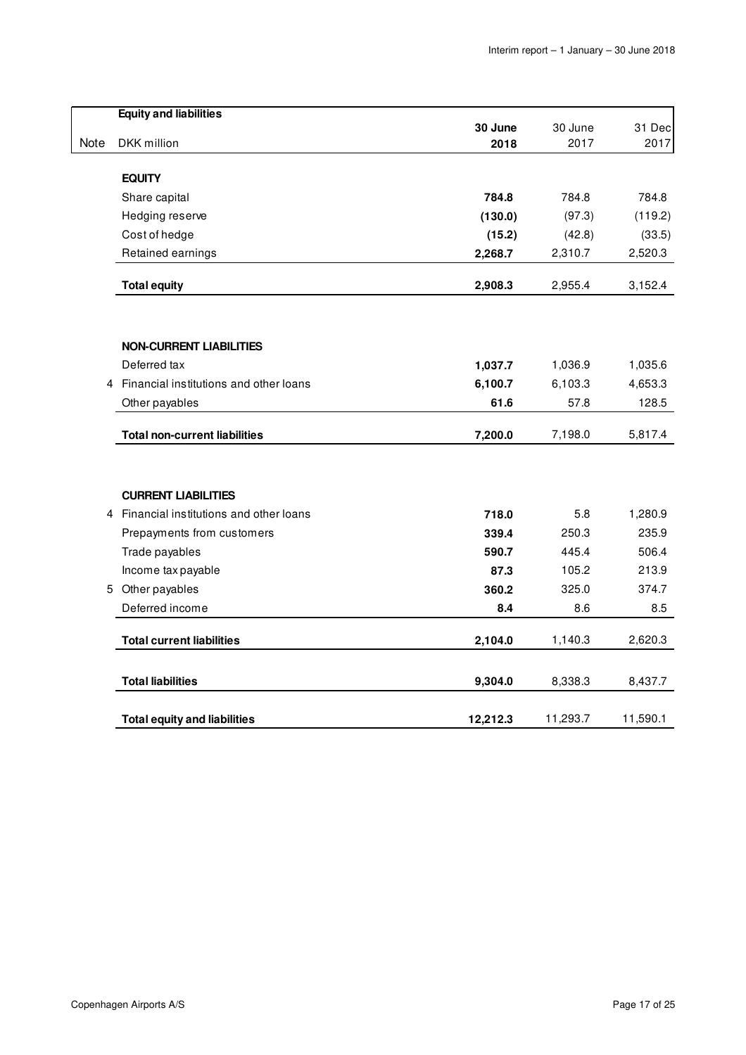|      | <b>Equity and liabilities</b>          |          |          |          |
|------|----------------------------------------|----------|----------|----------|
|      |                                        | 30 June  | 30 June  | 31 Dec   |
| Note | DKK million                            | 2018     | 2017     | 2017     |
|      | <b>EQUITY</b>                          |          |          |          |
|      | Share capital                          | 784.8    | 784.8    | 784.8    |
|      | Hedging reserve                        | (130.0)  | (97.3)   | (119.2)  |
|      | Cost of hedge                          | (15.2)   | (42.8)   | (33.5)   |
|      | Retained earnings                      | 2,268.7  | 2,310.7  | 2,520.3  |
|      | <b>Total equity</b>                    | 2,908.3  | 2,955.4  | 3,152.4  |
|      |                                        |          |          |          |
|      | <b>NON-CURRENT LIABILITIES</b>         |          |          |          |
|      | Deferred tax                           | 1,037.7  | 1,036.9  | 1,035.6  |
| 4    | Financial institutions and other loans | 6,100.7  | 6,103.3  | 4,653.3  |
|      | Other payables                         | 61.6     | 57.8     | 128.5    |
|      | <b>Total non-current liabilities</b>   | 7,200.0  | 7,198.0  | 5,817.4  |
|      | <b>CURRENT LIABILITIES</b>             |          |          |          |
| 4    | Financial institutions and other loans | 718.0    | 5.8      | 1,280.9  |
|      | Prepayments from customers             | 339.4    | 250.3    | 235.9    |
|      | Trade payables                         | 590.7    | 445.4    | 506.4    |
|      | Income tax payable                     | 87.3     | 105.2    | 213.9    |
|      | 5 Other payables                       | 360.2    | 325.0    | 374.7    |
|      | Deferred income                        | 8.4      | 8.6      | 8.5      |
|      | <b>Total current liabilities</b>       | 2,104.0  | 1,140.3  | 2,620.3  |
|      | <b>Total liabilities</b>               | 9,304.0  | 8,338.3  | 8,437.7  |
|      | <b>Total equity and liabilities</b>    | 12,212.3 | 11,293.7 | 11,590.1 |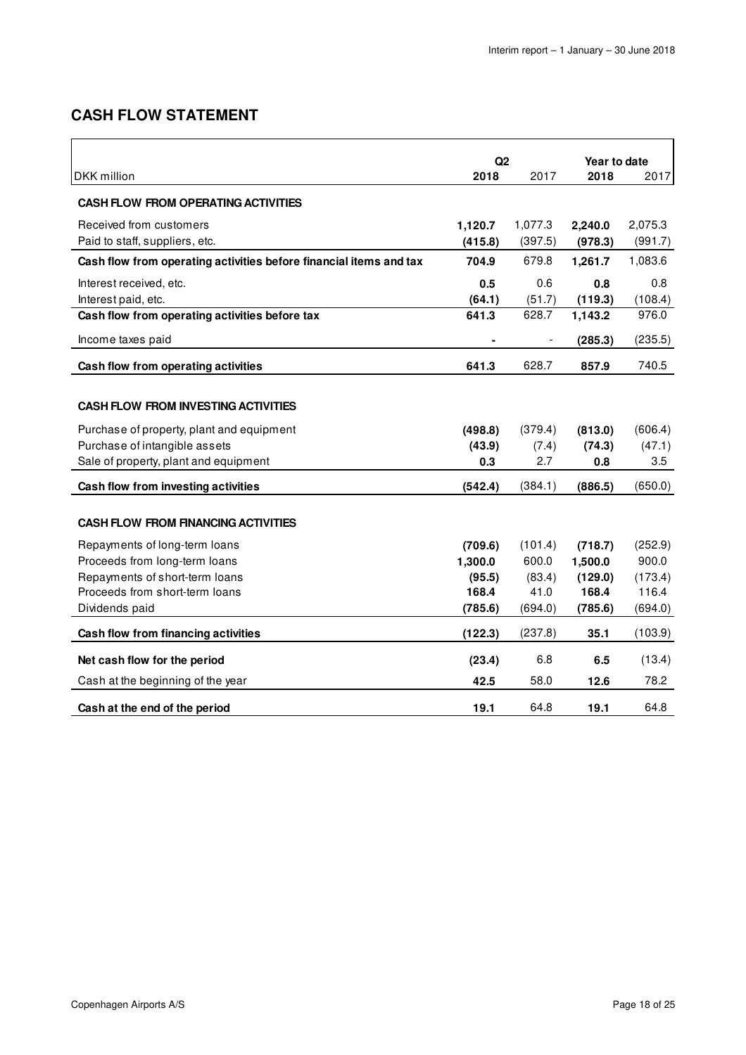### **CASH FLOW STATEMENT**

|                                                                    | Q2      |         | Year to date |         |  |
|--------------------------------------------------------------------|---------|---------|--------------|---------|--|
| DKK million                                                        | 2018    | 2017    | 2018         | 2017    |  |
| <b>CASH FLOW FROM OPERATING ACTIVITIES</b>                         |         |         |              |         |  |
| Received from customers                                            | 1,120.7 | 1,077.3 | 2,240.0      | 2,075.3 |  |
| Paid to staff, suppliers, etc.                                     | (415.8) | (397.5) | (978.3)      | (991.7) |  |
| Cash flow from operating activities before financial items and tax | 704.9   | 679.8   | 1,261.7      | 1,083.6 |  |
| Interest received, etc.                                            | 0.5     | 0.6     | 0.8          | 0.8     |  |
| Interest paid, etc.                                                | (64.1)  | (51.7)  | (119.3)      | (108.4) |  |
| Cash flow from operating activities before tax                     | 641.3   | 628.7   | 1,143.2      | 976.0   |  |
| Income taxes paid                                                  |         |         | (285.3)      | (235.5) |  |
| Cash flow from operating activities                                | 641.3   | 628.7   | 857.9        | 740.5   |  |
|                                                                    |         |         |              |         |  |
| <b>CASH FLOW FROM INVESTING ACTIVITIES</b>                         |         |         |              |         |  |
| Purchase of property, plant and equipment                          | (498.8) | (379.4) | (813.0)      | (606.4) |  |
| Purchase of intangible assets                                      | (43.9)  | (7.4)   | (74.3)       | (47.1)  |  |
| Sale of property, plant and equipment                              | 0.3     | 2.7     | 0.8          | 3.5     |  |
| Cash flow from investing activities                                | (542.4) | (384.1) | (886.5)      | (650.0) |  |
|                                                                    |         |         |              |         |  |
| <b>CASH FLOW FROM FINANCING ACTIVITIES</b>                         |         |         |              |         |  |
| Repayments of long-term loans                                      | (709.6) | (101.4) | (718.7)      | (252.9) |  |
| Proceeds from long-term loans                                      | 1,300.0 | 600.0   | 1,500.0      | 900.0   |  |
| Repayments of short-term loans                                     | (95.5)  | (83.4)  | (129.0)      | (173.4) |  |
| Proceeds from short-term loans                                     | 168.4   | 41.0    | 168.4        | 116.4   |  |
| Dividends paid                                                     | (785.6) | (694.0) | (785.6)      | (694.0) |  |
| Cash flow from financing activities                                | (122.3) | (237.8) | 35.1         | (103.9) |  |
| Net cash flow for the period                                       | (23.4)  | 6.8     | 6.5          | (13.4)  |  |
| Cash at the beginning of the year                                  | 42.5    | 58.0    | 12.6         | 78.2    |  |
| Cash at the end of the period                                      | 19.1    | 64.8    | 19.1         | 64.8    |  |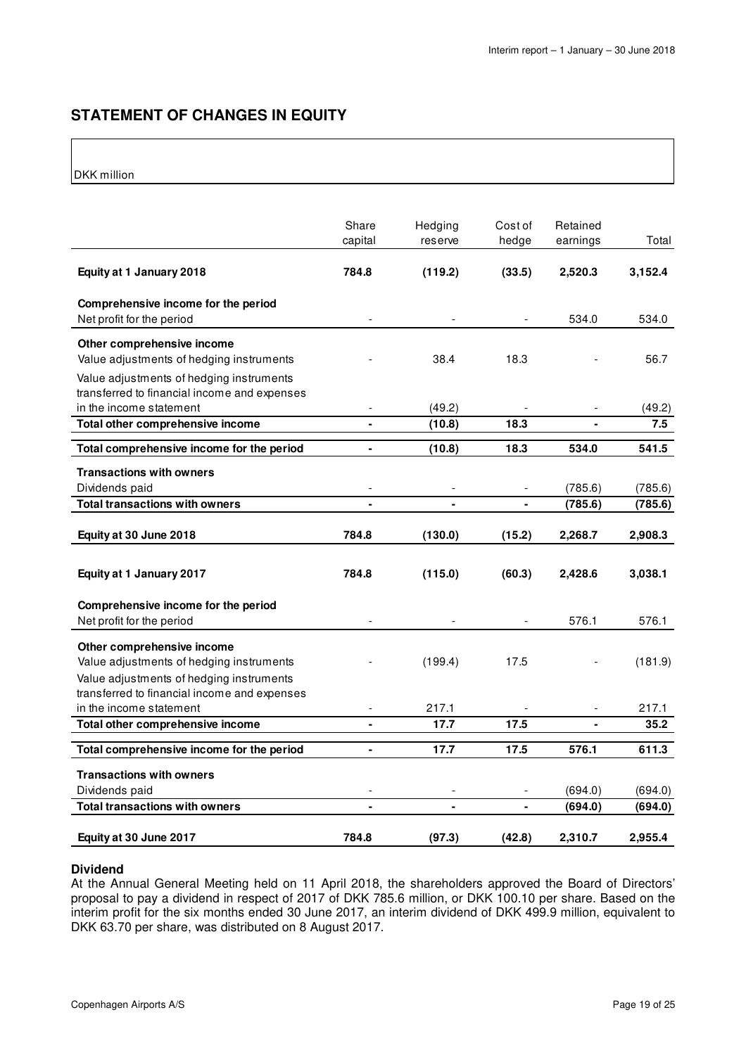### **STATEMENT OF CHANGES IN EQUITY**

### DKK million

|                                                                                                                                                                    | Share<br>capital             | Hedging<br>reserve | Cost of<br>hedge | Retained<br>earnings | Total   |
|--------------------------------------------------------------------------------------------------------------------------------------------------------------------|------------------------------|--------------------|------------------|----------------------|---------|
| Equity at 1 January 2018                                                                                                                                           | 784.8                        | (119.2)            | (33.5)           | 2,520.3              | 3,152.4 |
| Comprehensive income for the period<br>Net profit for the period                                                                                                   |                              |                    |                  | 534.0                | 534.0   |
| Other comprehensive income<br>Value adjustments of hedging instruments<br>Value adjustments of hedging instruments<br>transferred to financial income and expenses |                              | 38.4               | 18.3             |                      | 56.7    |
| in the income statement                                                                                                                                            |                              | (49.2)             |                  |                      | (49.2)  |
| Total other comprehensive income                                                                                                                                   | $\qquad \qquad \blacksquare$ | (10.8)             | 18.3             | $\blacksquare$       | 7.5     |
| Total comprehensive income for the period                                                                                                                          | $\blacksquare$               | (10.8)             | 18.3             | 534.0                | 541.5   |
| <b>Transactions with owners</b>                                                                                                                                    |                              |                    |                  |                      |         |
| Dividends paid                                                                                                                                                     |                              |                    |                  | (785.6)              | (785.6) |
| <b>Total transactions with owners</b>                                                                                                                              |                              |                    |                  | (785.6)              | (785.6) |
| Equity at 30 June 2018                                                                                                                                             | 784.8                        | (130.0)            | (15.2)           | 2,268.7              | 2,908.3 |
| Equity at 1 January 2017                                                                                                                                           | 784.8                        | (115.0)            | (60.3)           | 2,428.6              | 3,038.1 |
| Comprehensive income for the period<br>Net profit for the period                                                                                                   |                              |                    |                  | 576.1                | 576.1   |
| Other comprehensive income<br>Value adjustments of hedging instruments<br>Value adjustments of hedging instruments                                                 |                              | (199.4)            | 17.5             |                      | (181.9) |
| transferred to financial income and expenses<br>in the income statement                                                                                            |                              | 217.1              |                  |                      | 217.1   |
| Total other comprehensive income                                                                                                                                   | $\blacksquare$               | 17.7               | 17.5             | $\blacksquare$       | 35.2    |
|                                                                                                                                                                    |                              |                    |                  |                      |         |
| Total comprehensive income for the period                                                                                                                          | $\blacksquare$               | 17.7               | 17.5             | 576.1                | 611.3   |
| <b>Transactions with owners</b><br>Dividends paid                                                                                                                  |                              |                    |                  | (694.0)              | (694.0) |
| <b>Total transactions with owners</b>                                                                                                                              | $\blacksquare$               | $\blacksquare$     | $\blacksquare$   | (694.0)              | (694.0) |
| Equity at 30 June 2017                                                                                                                                             | 784.8                        | (97.3)             | (42.8)           | 2,310.7              | 2,955.4 |

### **Dividend**

At the Annual General Meeting held on 11 April 2018, the shareholders approved the Board of Directors' proposal to pay a dividend in respect of 2017 of DKK 785.6 million, or DKK 100.10 per share. Based on the interim profit for the six months ended 30 June 2017, an interim dividend of DKK 499.9 million, equivalent to DKK 63.70 per share, was distributed on 8 August 2017.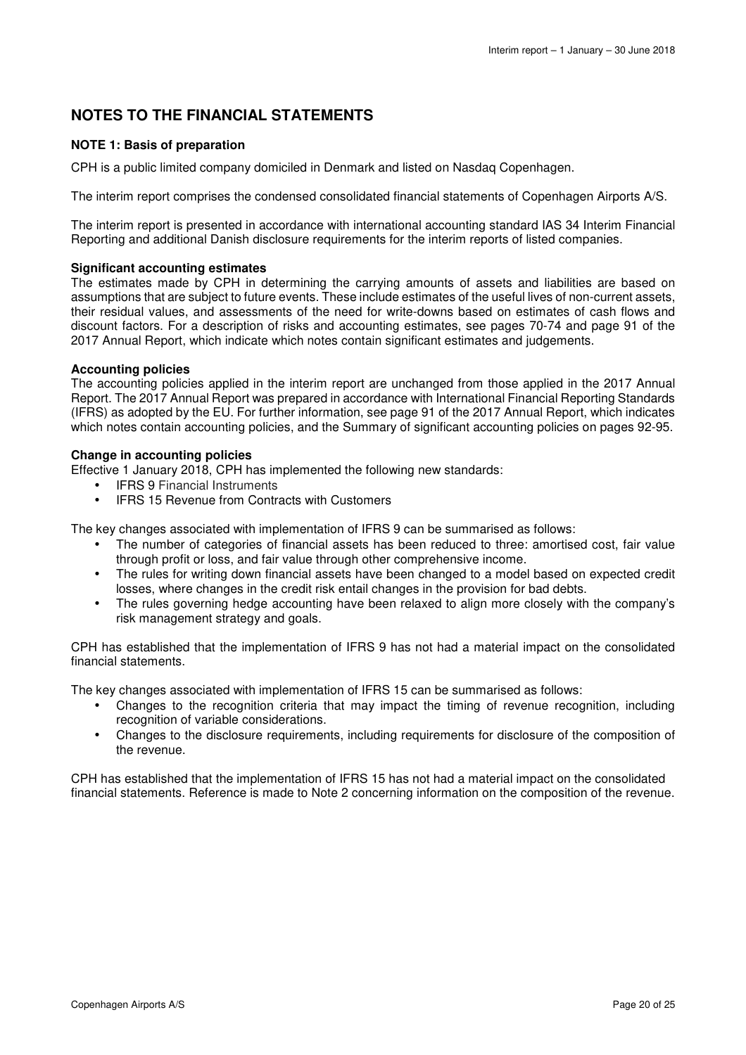### **NOTES TO THE FINANCIAL STATEMENTS**

### **NOTE 1: Basis of preparation**

CPH is a public limited company domiciled in Denmark and listed on Nasdaq Copenhagen.

The interim report comprises the condensed consolidated financial statements of Copenhagen Airports A/S.

The interim report is presented in accordance with international accounting standard IAS 34 Interim Financial Reporting and additional Danish disclosure requirements for the interim reports of listed companies.

### **Significant accounting estimates**

The estimates made by CPH in determining the carrying amounts of assets and liabilities are based on assumptions that are subject to future events. These include estimates of the useful lives of non-current assets, their residual values, and assessments of the need for write-downs based on estimates of cash flows and discount factors. For a description of risks and accounting estimates, see pages 70-74 and page 91 of the 2017 Annual Report, which indicate which notes contain significant estimates and judgements.

### **Accounting policies**

The accounting policies applied in the interim report are unchanged from those applied in the 2017 Annual Report. The 2017 Annual Report was prepared in accordance with International Financial Reporting Standards (IFRS) as adopted by the EU. For further information, see page 91 of the 2017 Annual Report, which indicates which notes contain accounting policies, and the Summary of significant accounting policies on pages 92-95.

### **Change in accounting policies**

Effective 1 January 2018, CPH has implemented the following new standards:

- IFRS 9 Financial Instruments
- IFRS 15 Revenue from Contracts with Customers

The key changes associated with implementation of IFRS 9 can be summarised as follows:

- The number of categories of financial assets has been reduced to three: amortised cost, fair value through profit or loss, and fair value through other comprehensive income.
- The rules for writing down financial assets have been changed to a model based on expected credit losses, where changes in the credit risk entail changes in the provision for bad debts.
- The rules governing hedge accounting have been relaxed to align more closely with the company's risk management strategy and goals.

CPH has established that the implementation of IFRS 9 has not had a material impact on the consolidated financial statements.

The key changes associated with implementation of IFRS 15 can be summarised as follows:

- Changes to the recognition criteria that may impact the timing of revenue recognition, including recognition of variable considerations.
- Changes to the disclosure requirements, including requirements for disclosure of the composition of the revenue.

CPH has established that the implementation of IFRS 15 has not had a material impact on the consolidated financial statements. Reference is made to Note 2 concerning information on the composition of the revenue.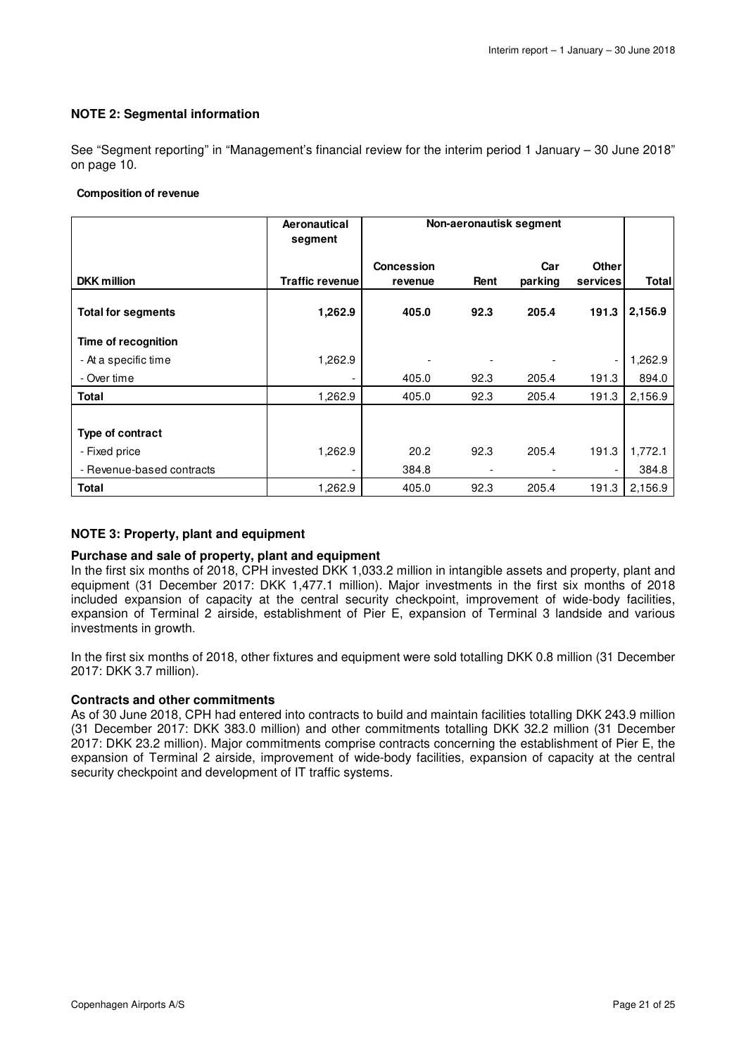### **NOTE 2: Segmental information**

See "Segment reporting" in "Management's financial review for the interim period 1 January – 30 June 2018" on page 10.

#### **Composition of revenue**

|                           | Aeronautical<br>segment | Non-aeronautisk segment      |      |                |                          |         |
|---------------------------|-------------------------|------------------------------|------|----------------|--------------------------|---------|
| <b>DKK</b> million        | Traffic revenue         | <b>Concession</b><br>revenue | Rent | Car<br>parking | <b>Other</b><br>services | Total   |
| <b>Total for segments</b> | 1,262.9                 | 405.0                        | 92.3 | 205.4          | 191.3                    | 2,156.9 |
| Time of recognition       |                         |                              |      |                |                          |         |
| - At a specific time      | 1,262.9                 |                              |      |                | $\overline{\phantom{a}}$ | 1,262.9 |
| - Over time               |                         | 405.0                        | 92.3 | 205.4          | 191.3                    | 894.0   |
| <b>Total</b>              | 1,262.9                 | 405.0                        | 92.3 | 205.4          | 191.3                    | 2,156.9 |
|                           |                         |                              |      |                |                          |         |
| Type of contract          |                         |                              |      |                |                          |         |
| - Fixed price             | 1,262.9                 | 20.2                         | 92.3 | 205.4          | 191.3                    | 1,772.1 |
| - Revenue-based contracts |                         | 384.8                        |      |                |                          | 384.8   |
| Total                     | 1,262.9                 | 405.0                        | 92.3 | 205.4          | 191.3                    | 2,156.9 |

### **NOTE 3: Property, plant and equipment**

### **Purchase and sale of property, plant and equipment**

In the first six months of 2018, CPH invested DKK 1,033.2 million in intangible assets and property, plant and equipment (31 December 2017: DKK 1,477.1 million). Major investments in the first six months of 2018 included expansion of capacity at the central security checkpoint, improvement of wide-body facilities, expansion of Terminal 2 airside, establishment of Pier E, expansion of Terminal 3 landside and various investments in growth.

In the first six months of 2018, other fixtures and equipment were sold totalling DKK 0.8 million (31 December 2017: DKK 3.7 million).

### **Contracts and other commitments**

As of 30 June 2018, CPH had entered into contracts to build and maintain facilities totalling DKK 243.9 million (31 December 2017: DKK 383.0 million) and other commitments totalling DKK 32.2 million (31 December 2017: DKK 23.2 million). Major commitments comprise contracts concerning the establishment of Pier E, the expansion of Terminal 2 airside, improvement of wide-body facilities, expansion of capacity at the central security checkpoint and development of IT traffic systems.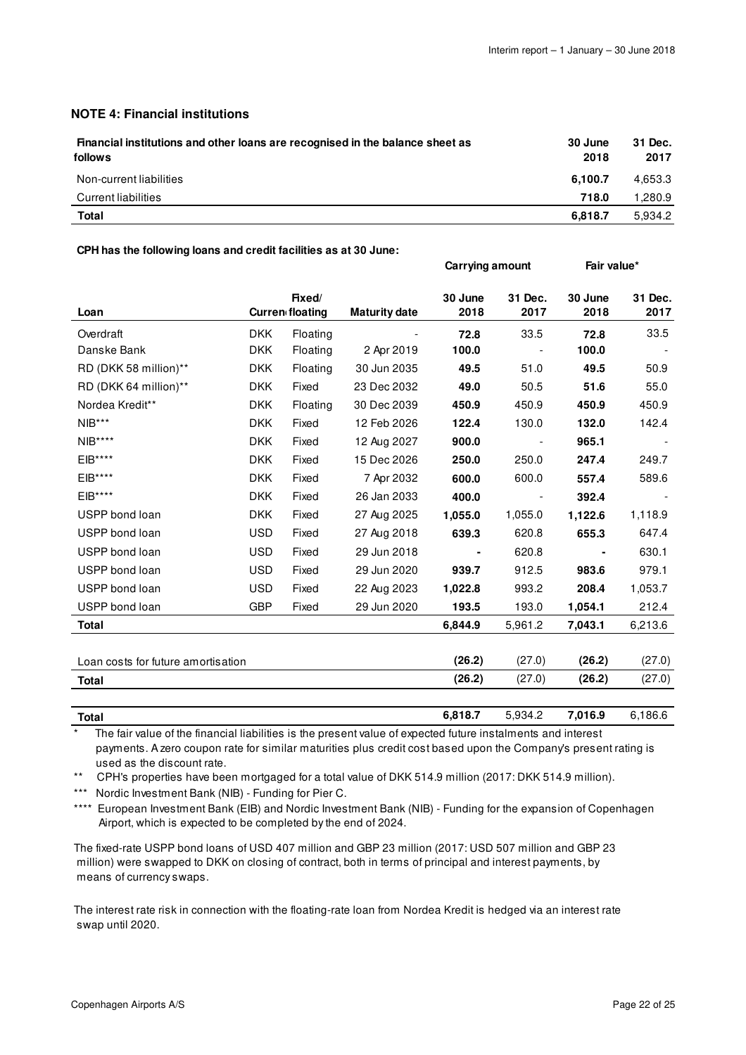### **NOTE 4: Financial institutions**

| Financial institutions and other loans are recognised in the balance sheet as<br>follows | 30 June<br>2018 | 31 Dec.<br>2017 |
|------------------------------------------------------------------------------------------|-----------------|-----------------|
| Non-current liabilities                                                                  | 6.100.7         | 4,653.3         |
| Current liabilities                                                                      | 718.0           | 280.9. ا        |
| Total                                                                                    | 6.818.7         | 5.934.2         |

#### **CPH has the following loans and credit facilities as at 30 June:**

|                                    |            |                                  |                      | <b>Carrying amount</b> |                 | Fair value*     |                 |
|------------------------------------|------------|----------------------------------|----------------------|------------------------|-----------------|-----------------|-----------------|
| Loan                               |            | Fixed/<br><b>Curren floating</b> | <b>Maturity date</b> | 30 June<br>2018        | 31 Dec.<br>2017 | 30 June<br>2018 | 31 Dec.<br>2017 |
| Overdraft                          | <b>DKK</b> | Floating                         |                      | 72.8                   | 33.5            | 72.8            | 33.5            |
| Danske Bank                        | <b>DKK</b> | Floating                         | 2 Apr 2019           | 100.0                  |                 | 100.0           |                 |
| RD (DKK 58 million)**              | <b>DKK</b> | Floating                         | 30 Jun 2035          | 49.5                   | 51.0            | 49.5            | 50.9            |
| RD (DKK 64 million)**              | <b>DKK</b> | Fixed                            | 23 Dec 2032          | 49.0                   | 50.5            | 51.6            | 55.0            |
| Nordea Kredit**                    | <b>DKK</b> | Floating                         | 30 Dec 2039          | 450.9                  | 450.9           | 450.9           | 450.9           |
| NIB***                             | <b>DKK</b> | Fixed                            | 12 Feb 2026          | 122.4                  | 130.0           | 132.0           | 142.4           |
| $NIB***$                           | <b>DKK</b> | Fixed                            | 12 Aug 2027          | 900.0                  |                 | 965.1           |                 |
| EIB****                            | <b>DKK</b> | Fixed                            | 15 Dec 2026          | 250.0                  | 250.0           | 247.4           | 249.7           |
| EIB****                            | <b>DKK</b> | Fixed                            | 7 Apr 2032           | 600.0                  | 600.0           | 557.4           | 589.6           |
| EIB****                            | <b>DKK</b> | Fixed                            | 26 Jan 2033          | 400.0                  |                 | 392.4           |                 |
| USPP bond loan                     | <b>DKK</b> | Fixed                            | 27 Aug 2025          | 1,055.0                | 1,055.0         | 1,122.6         | 1,118.9         |
| USPP bond loan                     | <b>USD</b> | Fixed                            | 27 Aug 2018          | 639.3                  | 620.8           | 655.3           | 647.4           |
| USPP bond loan                     | <b>USD</b> | Fixed                            | 29 Jun 2018          |                        | 620.8           |                 | 630.1           |
| USPP bond loan                     | <b>USD</b> | Fixed                            | 29 Jun 2020          | 939.7                  | 912.5           | 983.6           | 979.1           |
| USPP bond loan                     | <b>USD</b> | Fixed                            | 22 Aug 2023          | 1,022.8                | 993.2           | 208.4           | 1,053.7         |
| USPP bond loan                     | <b>GBP</b> | Fixed                            | 29 Jun 2020          | 193.5                  | 193.0           | 1,054.1         | 212.4           |
| Total                              |            |                                  |                      | 6,844.9                | 5,961.2         | 7,043.1         | 6,213.6         |
|                                    |            |                                  |                      |                        |                 |                 |                 |
| Loan costs for future amortisation |            |                                  |                      | (26.2)                 | (27.0)          | (26.2)          | (27.0)          |
| <b>Total</b>                       |            |                                  |                      | (26.2)                 | (27.0)          | (26.2)          | (27.0)          |
|                                    |            |                                  |                      |                        |                 |                 |                 |

**Total 6,818.7** 5,934.2 **7,016.9** 6,186.6 The fair value of the financial liabilities is the present value of expected future instalments and interest

 payments. A zero coupon rate for similar maturities plus credit cost based upon the Company's present rating is used as the discount rate.

\*\* CPH's properties have been mortgaged for a total value of DKK 514.9 million (2017: DKK 514.9 million).

\*\*\* Nordic Investment Bank (NIB) - Funding for Pier C.

\*\*\*\* European Investment Bank (EIB) and Nordic Investment Bank (NIB) - Funding for the expansion of Copenhagen Airport, which is expected to be completed by the end of 2024.

The fixed-rate USPP bond loans of USD 407 million and GBP 23 million (2017: USD 507 million and GBP 23 million) were swapped to DKK on closing of contract, both in terms of principal and interest payments, by means of currency swaps.

The interest rate risk in connection with the floating-rate loan from Nordea Kredit is hedged via an interest rate swap until 2020.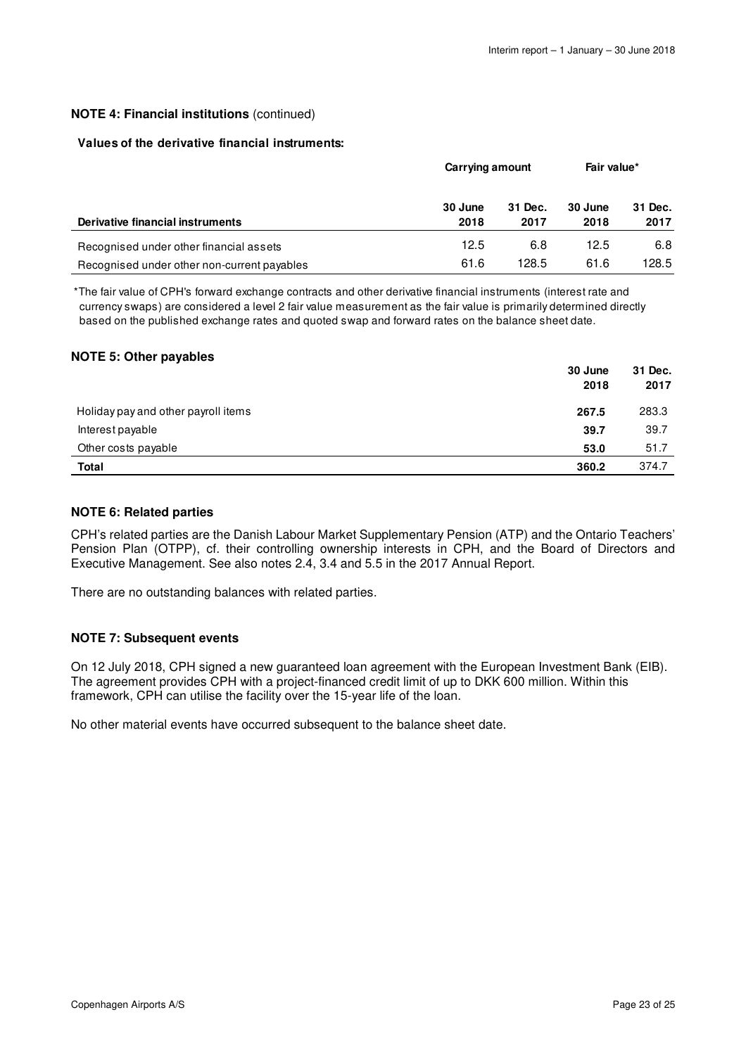### **NOTE 4: Financial institutions** (continued)

### **Values of the derivative financial instruments:**

|                                             | Carrying amount |                 | Fair value*     |                 |
|---------------------------------------------|-----------------|-----------------|-----------------|-----------------|
| Derivative financial instruments            | 30 June<br>2018 | 31 Dec.<br>2017 | 30 June<br>2018 | 31 Dec.<br>2017 |
| Recognised under other financial assets     | 12.5            | 6.8             | 12.5            | 6.8             |
| Recognised under other non-current payables | 61.6            | 128.5           | 61.6            | 128.5           |

\*The fair value of CPH's forward exchange contracts and other derivative financial instruments (interest rate and currency swaps) are considered a level 2 fair value measurement as the fair value is primarily determined directly based on the published exchange rates and quoted swap and forward rates on the balance sheet date.

### **NOTE 5: Other payables**

|                                     | 30 June<br>2018 | 31 Dec.<br>2017 |
|-------------------------------------|-----------------|-----------------|
| Holiday pay and other payroll items | 267.5           | 283.3           |
| Interest payable                    | 39.7            | 39.7            |
| Other costs payable                 | 53.0            | 51.7            |
| <b>Total</b>                        | 360.2           | 374.7           |

#### **NOTE 6: Related parties**

CPH's related parties are the Danish Labour Market Supplementary Pension (ATP) and the Ontario Teachers' Pension Plan (OTPP), cf. their controlling ownership interests in CPH, and the Board of Directors and Executive Management. See also notes 2.4, 3.4 and 5.5 in the 2017 Annual Report.

There are no outstanding balances with related parties.

### **NOTE 7: Subsequent events**

On 12 July 2018, CPH signed a new guaranteed loan agreement with the European Investment Bank (EIB). The agreement provides CPH with a project-financed credit limit of up to DKK 600 million. Within this framework, CPH can utilise the facility over the 15-year life of the loan.

No other material events have occurred subsequent to the balance sheet date.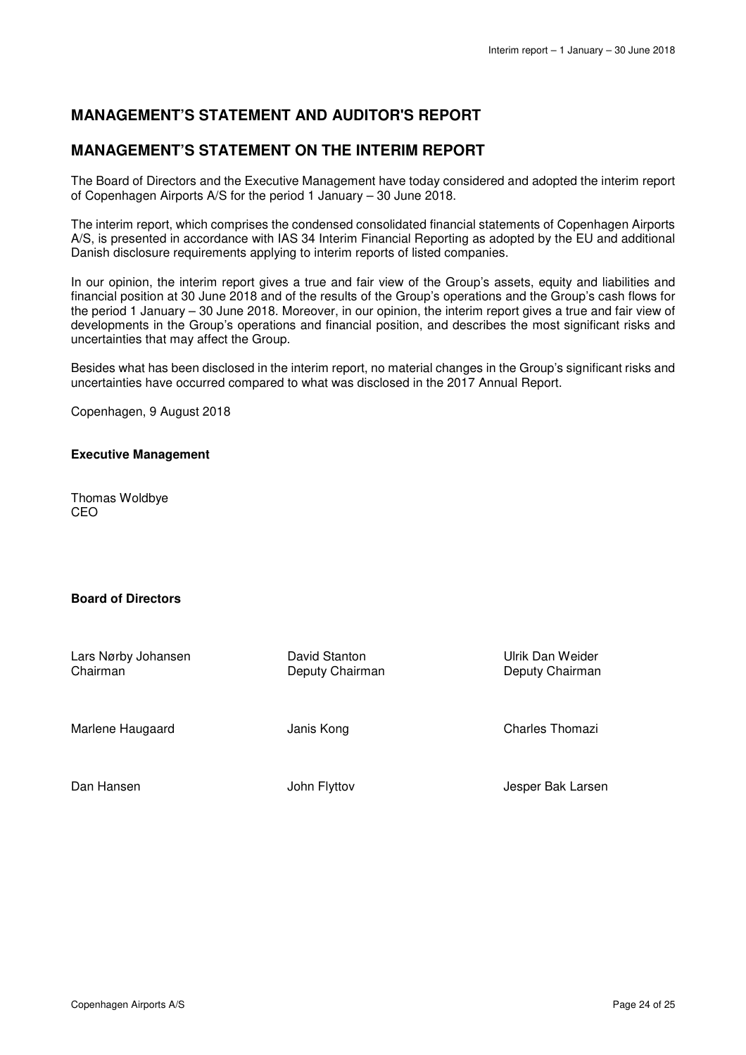### **MANAGEMENT'S STATEMENT AND AUDITOR'S REPORT**

### **MANAGEMENT'S STATEMENT ON THE INTERIM REPORT**

The Board of Directors and the Executive Management have today considered and adopted the interim report of Copenhagen Airports A/S for the period 1 January – 30 June 2018.

The interim report, which comprises the condensed consolidated financial statements of Copenhagen Airports A/S, is presented in accordance with IAS 34 Interim Financial Reporting as adopted by the EU and additional Danish disclosure requirements applying to interim reports of listed companies.

In our opinion, the interim report gives a true and fair view of the Group's assets, equity and liabilities and financial position at 30 June 2018 and of the results of the Group's operations and the Group's cash flows for the period 1 January – 30 June 2018. Moreover, in our opinion, the interim report gives a true and fair view of developments in the Group's operations and financial position, and describes the most significant risks and uncertainties that may affect the Group.

Besides what has been disclosed in the interim report, no material changes in the Group's significant risks and uncertainties have occurred compared to what was disclosed in the 2017 Annual Report.

Copenhagen, 9 August 2018

### **Executive Management**

Thomas Woldbye CEO

### **Board of Directors**

Lars Nørby Johansen Chairman

David Stanton Deputy Chairman Ulrik Dan Weider Deputy Chairman

Marlene Haugaard

Janis Kong

Charles Thomazi

Dan Hansen

John Flyttov

Jesper Bak Larsen